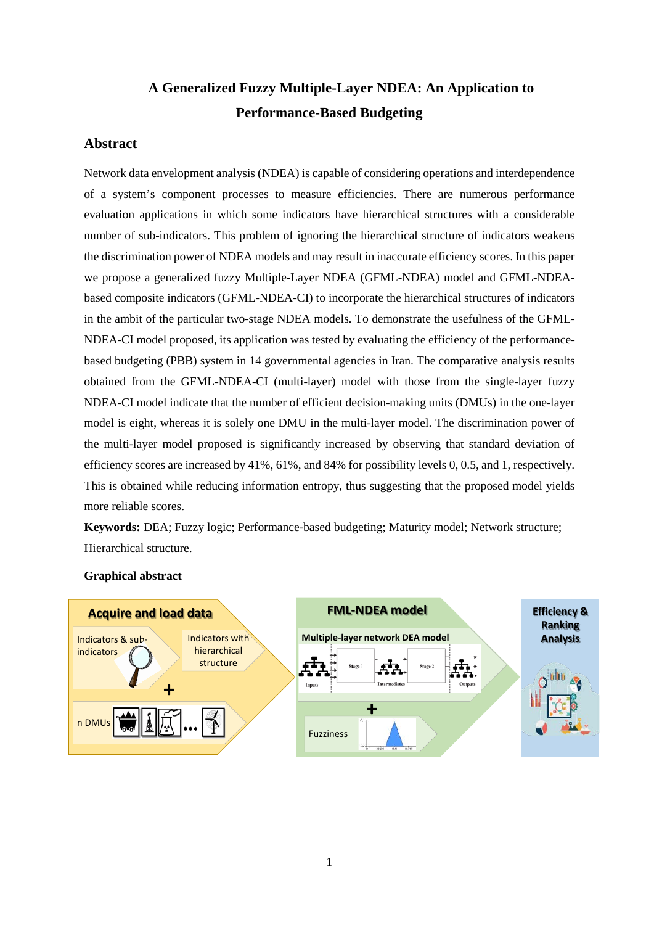# **A Generalized Fuzzy Multiple-Layer NDEA: An Application to Performance-Based Budgeting**

## **Abstract**

Network data envelopment analysis (NDEA) is capable of considering operations and interdependence of a system's component processes to measure efficiencies. There are numerous performance evaluation applications in which some indicators have hierarchical structures with a considerable number of sub-indicators. This problem of ignoring the hierarchical structure of indicators weakens the discrimination power of NDEA models and may result in inaccurate efficiency scores. In this paper we propose a generalized fuzzy Multiple-Layer NDEA (GFML-NDEA) model and GFML-NDEAbased composite indicators (GFML-NDEA-CI) to incorporate the hierarchical structures of indicators in the ambit of the particular two-stage NDEA models. To demonstrate the usefulness of the GFML-NDEA-CI model proposed, its application was tested by evaluating the efficiency of the performancebased budgeting (PBB) system in 14 governmental agencies in Iran. The comparative analysis results obtained from the GFML-NDEA-CI (multi-layer) model with those from the single-layer fuzzy NDEA-CI model indicate that the number of efficient decision-making units (DMUs) in the one-layer model is eight, whereas it is solely one DMU in the multi-layer model. The discrimination power of the multi-layer model proposed is significantly increased by observing that standard deviation of efficiency scores are increased by 41%, 61%, and 84% for possibility levels 0, 0.5, and 1, respectively. This is obtained while reducing information entropy, thus suggesting that the proposed model yields more reliable scores.

**Keywords:** DEA; Fuzzy logic; Performance-based budgeting; Maturity model; Network structure; Hierarchical structure.



## **Graphical abstract**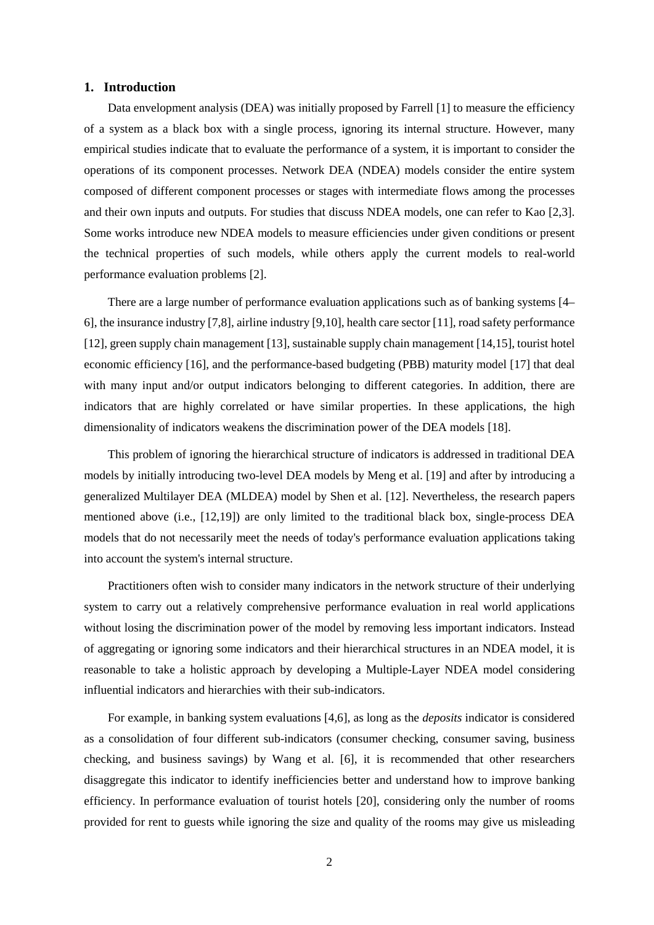## **1. Introduction**

Data envelopment analysis (DEA) was initially proposed by Farrell [1] to measure the efficiency of a system as a black box with a single process, ignoring its internal structure. However, many empirical studies indicate that to evaluate the performance of a system, it is important to consider the operations of its component processes. Network DEA (NDEA) models consider the entire system composed of different component processes or stages with intermediate flows among the processes and their own inputs and outputs. For studies that discuss NDEA models, one can refer to Kao [2,3]. Some works introduce new NDEA models to measure efficiencies under given conditions or present the technical properties of such models, while others apply the current models to real-world performance evaluation problems [2].

There are a large number of performance evaluation applications such as of banking systems [4– 6], the insurance industry [7,8], airline industry [9,10], health care sector [11], road safety performance [12], green supply chain management [13], sustainable supply chain management [14,15], tourist hotel economic efficiency [16], and the performance-based budgeting (PBB) maturity model [17] that deal with many input and/or output indicators belonging to different categories. In addition, there are indicators that are highly correlated or have similar properties. In these applications, the high dimensionality of indicators weakens the discrimination power of the DEA models [18].

This problem of ignoring the hierarchical structure of indicators is addressed in traditional DEA models by initially introducing two-level DEA models by Meng et al. [19] and after by introducing a generalized Multilayer DEA (MLDEA) model by Shen et al. [12]. Nevertheless, the research papers mentioned above (i.e., [12,19]) are only limited to the traditional black box, single-process DEA models that do not necessarily meet the needs of today's performance evaluation applications taking into account the system's internal structure.

Practitioners often wish to consider many indicators in the network structure of their underlying system to carry out a relatively comprehensive performance evaluation in real world applications without losing the discrimination power of the model by removing less important indicators. Instead of aggregating or ignoring some indicators and their hierarchical structures in an NDEA model, it is reasonable to take a holistic approach by developing a Multiple-Layer NDEA model considering influential indicators and hierarchies with their sub-indicators.

For example, in banking system evaluations [4,6], as long as the *deposits* indicator is considered as a consolidation of four different sub-indicators (consumer checking, consumer saving, business checking, and business savings) by Wang et al. [6], it is recommended that other researchers disaggregate this indicator to identify inefficiencies better and understand how to improve banking efficiency. In performance evaluation of tourist hotels [20], considering only the number of rooms provided for rent to guests while ignoring the size and quality of the rooms may give us misleading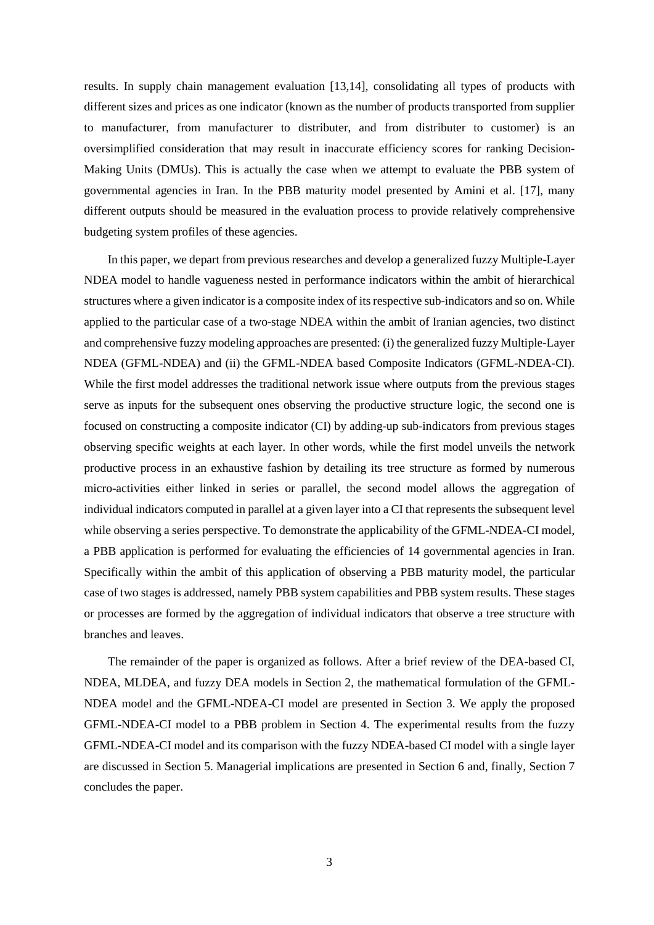results. In supply chain management evaluation [13,14], consolidating all types of products with different sizes and prices as one indicator (known as the number of products transported from supplier to manufacturer, from manufacturer to distributer, and from distributer to customer) is an oversimplified consideration that may result in inaccurate efficiency scores for ranking Decision-Making Units (DMUs). This is actually the case when we attempt to evaluate the PBB system of governmental agencies in Iran. In the PBB maturity model presented by Amini et al. [17], many different outputs should be measured in the evaluation process to provide relatively comprehensive budgeting system profiles of these agencies.

In this paper, we depart from previous researches and develop a generalized fuzzy Multiple-Layer NDEA model to handle vagueness nested in performance indicators within the ambit of hierarchical structures where a given indicator is a composite index of its respective sub-indicators and so on. While applied to the particular case of a two-stage NDEA within the ambit of Iranian agencies, two distinct and comprehensive fuzzy modeling approaches are presented: (i) the generalized fuzzy Multiple-Layer NDEA (GFML-NDEA) and (ii) the GFML-NDEA based Composite Indicators (GFML-NDEA-CI). While the first model addresses the traditional network issue where outputs from the previous stages serve as inputs for the subsequent ones observing the productive structure logic, the second one is focused on constructing a composite indicator (CI) by adding-up sub-indicators from previous stages observing specific weights at each layer. In other words, while the first model unveils the network productive process in an exhaustive fashion by detailing its tree structure as formed by numerous micro-activities either linked in series or parallel, the second model allows the aggregation of individual indicators computed in parallel at a given layer into a CI that represents the subsequent level while observing a series perspective. To demonstrate the applicability of the GFML-NDEA-CI model, a PBB application is performed for evaluating the efficiencies of 14 governmental agencies in Iran. Specifically within the ambit of this application of observing a PBB maturity model, the particular case of two stages is addressed, namely PBB system capabilities and PBB system results. These stages or processes are formed by the aggregation of individual indicators that observe a tree structure with branches and leaves.

The remainder of the paper is organized as follows. After a brief review of the DEA-based CI, NDEA, MLDEA, and fuzzy DEA models in Section 2, the mathematical formulation of the GFML-NDEA model and the GFML-NDEA-CI model are presented in Section 3. We apply the proposed GFML-NDEA-CI model to a PBB problem in Section 4. The experimental results from the fuzzy GFML-NDEA-CI model and its comparison with the fuzzy NDEA-based CI model with a single layer are discussed in Section 5. Managerial implications are presented in Section 6 and, finally, Section 7 concludes the paper.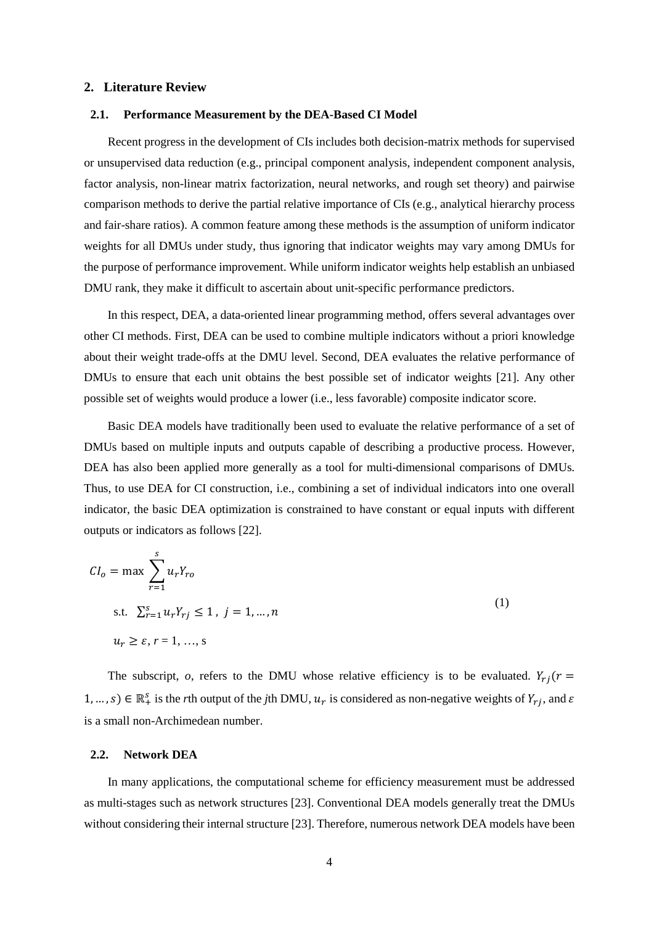## **2. Literature Review**

## **2.1. Performance Measurement by the DEA-Based CI Model**

Recent progress in the development of CIs includes both decision-matrix methods for supervised or unsupervised data reduction (e.g., principal component analysis, independent component analysis, factor analysis, non-linear matrix factorization, neural networks, and rough set theory) and pairwise comparison methods to derive the partial relative importance of CIs (e.g., analytical hierarchy process and fair-share ratios). A common feature among these methods is the assumption of uniform indicator weights for all DMUs under study, thus ignoring that indicator weights may vary among DMUs for the purpose of performance improvement. While uniform indicator weights help establish an unbiased DMU rank, they make it difficult to ascertain about unit-specific performance predictors.

In this respect, DEA, a data-oriented linear programming method, offers several advantages over other CI methods. First, DEA can be used to combine multiple indicators without a priori knowledge about their weight trade-offs at the DMU level. Second, DEA evaluates the relative performance of DMUs to ensure that each unit obtains the best possible set of indicator weights [21]. Any other possible set of weights would produce a lower (i.e., less favorable) composite indicator score.

Basic DEA models have traditionally been used to evaluate the relative performance of a set of DMUs based on multiple inputs and outputs capable of describing a productive process. However, DEA has also been applied more generally as a tool for multi-dimensional comparisons of DMUs. Thus, to use DEA for CI construction, i.e., combining a set of individual indicators into one overall indicator, the basic DEA optimization is constrained to have constant or equal inputs with different outputs or indicators as follows [22].

$$
CIo = \max \sum_{r=1}^{s} u_r Y_{ro}
$$
  
s.t.  $\sum_{r=1}^{s} u_r Y_{rj} \le 1$ ,  $j = 1,...,n$   
 $u_r \ge \varepsilon$ ,  $r = 1, ..., s$  (1)

The subscript, *o*, refers to the DMU whose relative efficiency is to be evaluated.  $Y_{rj}(r =$  $1, ..., s$ )  $\in \mathbb{R}_+^s$  is the *r*th output of the *j*th DMU,  $u_r$  is considered as non-negative weights of  $Y_{rj}$ , and  $\varepsilon$ is a small non-Archimedean number.

## **2.2. Network DEA**

In many applications, the computational scheme for efficiency measurement must be addressed as multi-stages such as network structures [23]. Conventional DEA models generally treat the DMUs without considering their internal structure [23]. Therefore, numerous network DEA models have been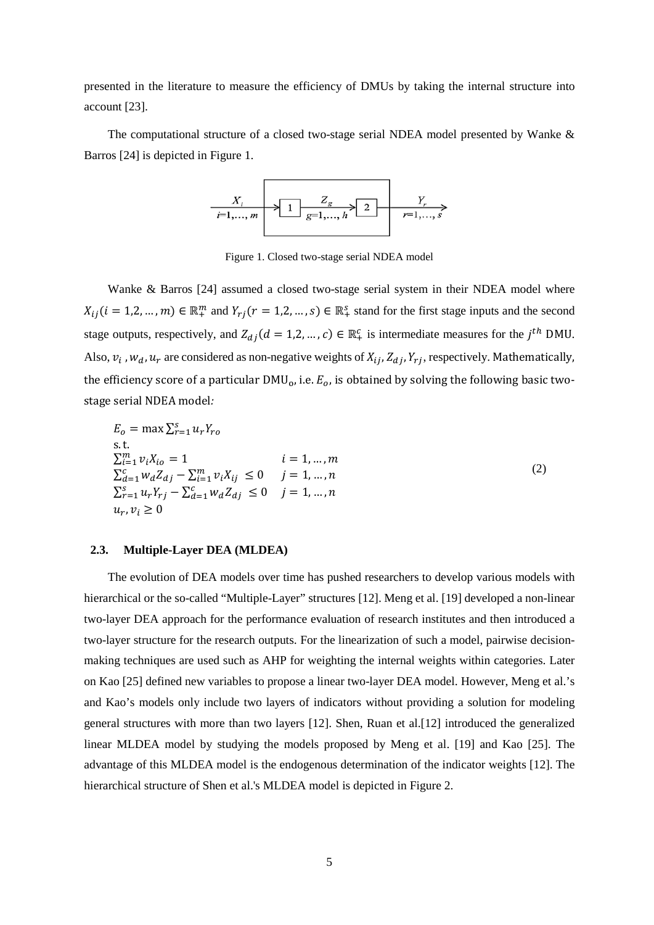presented in the literature to measure the efficiency of DMUs by taking the internal structure into account [23].

The computational structure of a closed two-stage serial NDEA model presented by Wanke & Barros [24] is depicted in [Figure 1.](#page-4-0)



Figure 1. Closed two-stage serial NDEA model

<span id="page-4-0"></span>Wanke & Barros [24] assumed a closed two-stage serial system in their NDEA model where  $X_{ij}$  ( $i = 1, 2, ..., m$ )  $\in \mathbb{R}_+^m$  and  $Y_{rj}$  ( $r = 1, 2, ..., s$ )  $\in \mathbb{R}_+^s$  stand for the first stage inputs and the second stage outputs, respectively, and  $Z_{d,j}(d = 1, 2, ..., c) \in \mathbb{R}_+^c$  is intermediate measures for the  $j^{th}$  DMU. Also,  $v_i$ ,  $w_d$ ,  $u_r$  are considered as non-negative weights of  $X_{ij}$ ,  $Z_{di}$ ,  $Y_{ri}$ , respectively. Mathematically, the efficiency score of a particular  $DMU_0$ , i.e.  $E_0$ , is obtained by solving the following basic twostage serial NDEA model*:*

$$
E_o = \max \sum_{r=1}^{S} u_r Y_{ro}
$$
  
s.t.  

$$
\sum_{i=1}^{m} v_i X_{io} = 1
$$
  

$$
\sum_{d=1}^{c} w_d Z_{dj} - \sum_{i=1}^{m} v_i X_{ij} \le 0 \t j = 1,...,n
$$
  

$$
\sum_{r=1}^{S} u_r Y_{rj} - \sum_{d=1}^{c} w_d Z_{dj} \le 0 \t j = 1,...,n
$$
  

$$
u_r, v_i \ge 0
$$
 (2)

## **2.3. Multiple-Layer DEA (MLDEA)**

The evolution of DEA models over time has pushed researchers to develop various models with hierarchical or the so-called "Multiple-Layer" structures [12]. Meng et al. [19] developed a non-linear two-layer DEA approach for the performance evaluation of research institutes and then introduced a two-layer structure for the research outputs. For the linearization of such a model, pairwise decisionmaking techniques are used such as AHP for weighting the internal weights within categories. Later on Kao [25] defined new variables to propose a linear two-layer DEA model. However, Meng et al.'s and Kao's models only include two layers of indicators without providing a solution for modeling general structures with more than two layers [12]. Shen, Ruan et al.[12] introduced the generalized linear MLDEA model by studying the models proposed by Meng et al. [19] and Kao [25]. The advantage of this MLDEA model is the endogenous determination of the indicator weights [12]. The hierarchical structure of Shen et al.'s MLDEA model is depicted in [Figure 2.](#page-5-0)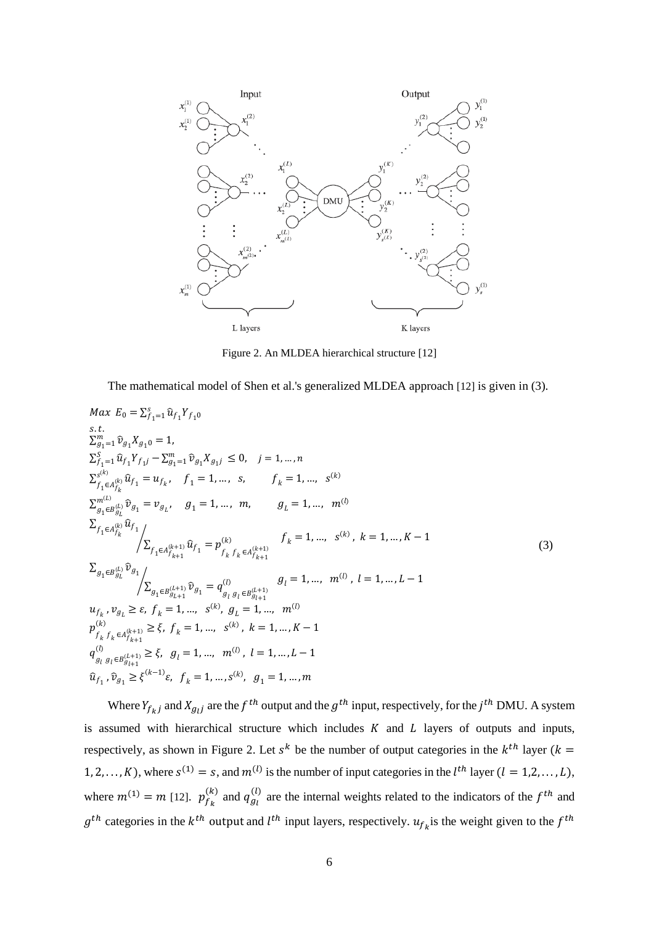

<span id="page-5-1"></span>Figure 2. An MLDEA hierarchical structure [12]

<span id="page-5-0"></span>The mathematical model of Shen et al.'s generalized MLDEA approach [12] is given in [\(3\)](#page-5-1).

$$
Max E_{0} = \sum_{f_{1}=1}^{s} \hat{u}_{f_{1}} Y_{f_{10}}
$$
  
\ns.t.  
\n
$$
\sum_{g_{1}=1}^{m} \hat{v}_{g_{1}} X_{g_{10}} = 1,
$$
  
\n
$$
\sum_{f_{1}=1}^{s} \hat{u}_{f_{1}} Y_{f_{1}j} - \sum_{g_{1}=1}^{m} \hat{v}_{g_{1}} X_{g_{1}j} \le 0, \quad j = 1, ..., n
$$
  
\n
$$
\sum_{f_{1}\in A_{f_{k}}}^{s(k)} \hat{u}_{f_{1}} = u_{f_{k}}, \quad f_{1} = 1, ..., s, \quad f_{k} = 1, ..., s^{(k)}
$$
  
\n
$$
\sum_{g_{1}\in B_{g_{L}}^{(k)}} \hat{v}_{g_{1}} = v_{g_{L}}, \quad g_{1} = 1, ..., m, \quad g_{L} = 1, ..., m^{(l)}
$$
  
\n
$$
\sum_{f_{1}\in A_{f_{k}}}^{s(k)} \hat{u}_{f_{1}} / \sum_{f_{1}\in A_{f_{k}+1}^{(k+1)}} \hat{u}_{f_{1}} = p_{f_{k}}^{(k)} f_{k} = 1, ..., s^{(k)}, k = 1, ..., K - 1
$$
  
\n
$$
\sum_{g_{1}\in B_{g_{L}}^{(L)}} \hat{v}_{g_{1}} / \sum_{g_{1}\in B_{g_{L}+1}^{(L+1)}} \hat{v}_{g_{1}} = q_{g_{1}g_{1}\in B_{g_{1}+1}}^{(l)} g_{l} = 1, ..., m^{(l)}, l = 1, ..., L - 1
$$
  
\n
$$
u_{f_{k}}, v_{g_{L}} \ge \varepsilon, f_{k} = 1, ..., s^{(k)}, g_{L} = 1, ..., m^{(l)}
$$
  
\n
$$
p_{f_{k}}^{(k)} f_{k} \in A_{f_{k+1}}^{(k+1)} \ge \xi, f_{k} = 1, ..., s^{(k)}, k = 1, ..., K - 1
$$
  
\n
$$
u_{g_{1}}^{(l)} g_{g_{1}e_{g_{1}+1}}^{(l+1)} \ge \xi, f_{k} = 1, ..., s^{(k)}, k = 1, ..., K - 1
$$
  
\n
$$
u_{g_{1}}^{(l)}
$$

Where  $Y_{f_{kj}}$  and  $X_{g_{ij}}$  are the  $f^{th}$  output and the  $g^{th}$  input, respectively, for the  $j^{th}$  DMU. A system is assumed with hierarchical structure which includes  $K$  and  $L$  layers of outputs and inputs, respectively, as shown in [Figure 2.](#page-5-0) Let  $s^k$  be the number of output categories in the  $k^{th}$  layer ( $k =$ 1, 2, ..., K), where  $s^{(1)} = s$ , and  $m^{(l)}$  is the number of input categories in the  $l^{th}$  layer  $(l = 1, 2, ..., L)$ , where  $m^{(1)} = m$  [12].  $p_{f_k}^{(k)}$  and  $q_{g_l}^{(l)}$  are the internal weights related to the indicators of the  $f^{th}$  and  $g^{th}$  categories in the  $k^{th}$  output and  $l^{th}$  input layers, respectively.  $u_{f_k}$  is the weight given to the  $f^{th}$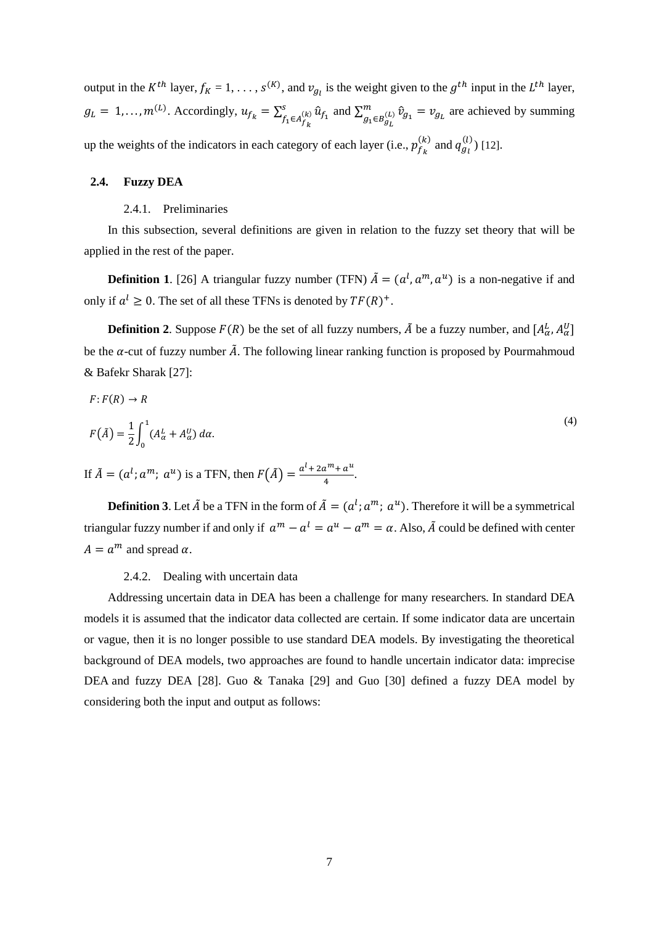output in the  $K^{th}$  layer,  $f_K = 1, \ldots, s^{(K)}$ , and  $v_{g_l}$  is the weight given to the  $g^{th}$  input in the  $L^{th}$  layer,  $g_L = 1, \ldots, m^{(L)}$ . Accordingly,  $u_{f_k} = \sum_{f_1 \in A_{f_1}^{(k)}} \hat{u}_{f_1}$  $\sum_{f_1 \in A_{f_k}}^{s} \hat{u}_{f_1}$  and  $\sum_{g_1 \in B_{g_L}}^{m} \hat{v}_{g_1} = v_{g_L}$  $g_1 ∈ B$ <sub>gL</sub>  $(v)$   $\hat{v}_{g_1} = v_{g_L}$  are achieved by summing up the weights of the indicators in each category of each layer (i.e.,  $p_{f_k}^{(k)}$  and  $q_{g_l}^{(l)}$ ) [12].

#### **2.4. Fuzzy DEA**

#### 2.4.1. Preliminaries

In this subsection, several definitions are given in relation to the fuzzy set theory that will be applied in the rest of the paper.

**Definition 1**. [26] A triangular fuzzy number (TFN)  $\hat{A} = (a^l, a^m, a^u)$  is a non-negative if and only if  $a^l \geq 0$ . The set of all these TFNs is denoted by  $TF(R)^+$ .

**Definition 2**. Suppose  $F(R)$  be the set of all fuzzy numbers,  $\tilde{A}$  be a fuzzy number, and  $[A^L_{\alpha}, A^U_{\alpha}]$ be the  $\alpha$ -cut of fuzzy number  $\tilde{A}$ . The following linear ranking function is proposed by Pourmahmoud & Bafekr Sharak [27]:

$$
F: F(R) \to R
$$
  
\n
$$
F(\tilde{A}) = \frac{1}{2} \int_0^1 (A_\alpha^L + A_\alpha^U) d\alpha.
$$
  
\nIf  $\tilde{A} = (a^l; a^m; a^u)$  is a TFN, then  $F(\tilde{A}) = \frac{a^l + 2a^m + a^u}{4}.$  (4)

**Definition 3**. Let  $\tilde{A}$  be a TFN in the form of  $\tilde{A} = (a^l; a^m; a^u)$ . Therefore it will be a symmetrical triangular fuzzy number if and only if  $a^m - a^l = a^u - a^m = \alpha$ . Also,  $\tilde{A}$  could be defined with center  $A = a^m$  and spread  $\alpha$ .

#### 2.4.2. Dealing with uncertain data

Addressing uncertain data in DEA has been a challenge for many researchers. In standard DEA models it is assumed that the indicator data collected are certain. If some indicator data are uncertain or vague, then it is no longer possible to use standard DEA models. By investigating the theoretical background of DEA models, two approaches are found to handle uncertain indicator data: imprecise DEA and fuzzy DEA [28]. Guo & Tanaka [29] and Guo [30] defined a fuzzy DEA model by considering both the input and output as follows: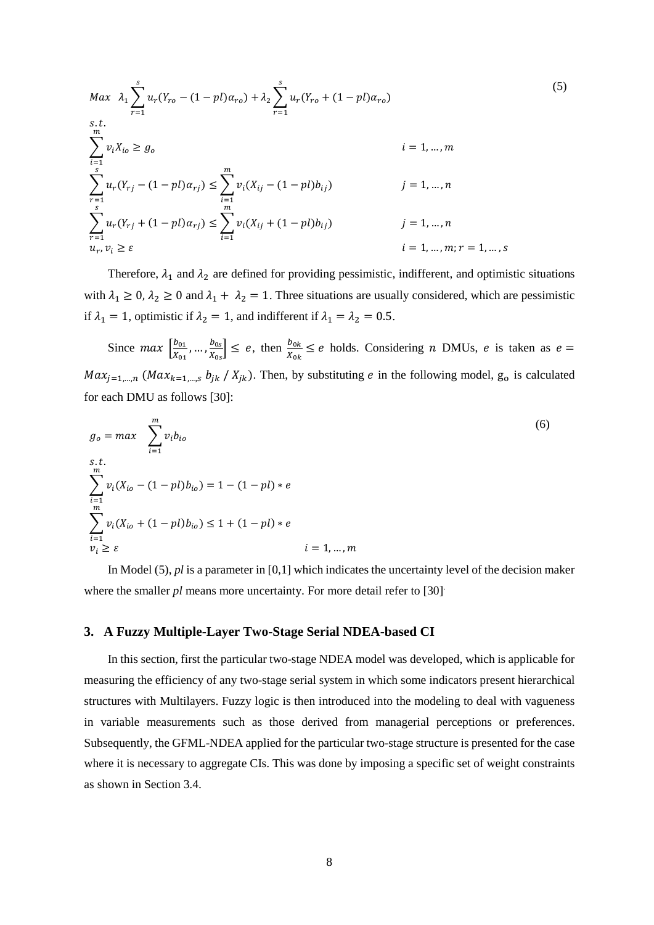<span id="page-7-0"></span>
$$
Max \ \lambda_{1} \sum_{r=1}^{s} u_{r}(Y_{ro} - (1 - pl)\alpha_{ro}) + \lambda_{2} \sum_{r=1}^{s} u_{r}(Y_{ro} + (1 - pl)\alpha_{ro})
$$
\n
$$
s.t. \ \sum_{i=1}^{m} v_{i}X_{io} \ge g_{o} \qquad i = 1, ..., m
$$
\n
$$
\sum_{r=1}^{s} u_{r}(Y_{rj} - (1 - pl)\alpha_{rj}) \le \sum_{i=1}^{m} v_{i}(X_{ij} - (1 - pl)b_{ij}) \qquad j = 1, ..., n
$$
\n
$$
\sum_{r=1}^{s} u_{r}(Y_{rj} + (1 - pl)\alpha_{rj}) \le \sum_{i=1}^{m} v_{i}(X_{ij} + (1 - pl)b_{ij}) \qquad j = 1, ..., n
$$
\n
$$
u_{r}, v_{i} \ge \varepsilon \qquad i = 1, ..., m; r = 1, ..., s
$$
\n(11)

Therefore,  $\lambda_1$  and  $\lambda_2$  are defined for providing pessimistic, indifferent, and optimistic situations with  $\lambda_1 \ge 0$ ,  $\lambda_2 \ge 0$  and  $\lambda_1 + \lambda_2 = 1$ . Three situations are usually considered, which are pessimistic if  $\lambda_1 = 1$ , optimistic if  $\lambda_2 = 1$ , and indifferent if  $\lambda_1 = \lambda_2 = 0.5$ .

Since  $max \left| \frac{b_{01}}{X_{01}} \right|$  $\frac{b_{01}}{X_{01}}, \dots, \frac{b_{0s}}{X_{0s}}$  $\frac{b_{0s}}{x_{0s}} \le e$ , then  $\frac{b_{0k}}{x_{0k}} \le e$  holds. Considering *n* DMUs, *e* is taken as  $e =$  $Max_{j=1,...,n}$  ( $Max_{k=1,...,s}$   $b_{jk}$  /  $X_{jk}$ ). Then, by substituting *e* in the following model, g<sub>o</sub> is calculated for each DMU as follows [30]:

$$
g_o = max \sum_{i=1}^{m} v_i b_{io}
$$
  
s.t.  

$$
\sum_{i=1}^{m} v_i (X_{io} - (1 - pl)b_{io}) = 1 - (1 - pl) * e
$$
  

$$
\sum_{i=1}^{m} v_i (X_{io} + (1 - pl)b_{io}) \le 1 + (1 - pl) * e
$$
  

$$
v_i \ge \varepsilon \qquad i = 1, ..., m
$$

In Model [\(5\)](#page-7-0), *pl* is a parameter in [0,1] which indicates the uncertainty level of the decision maker where the smaller *pl* means more uncertainty. For more detail refer to [30].

## **3. A Fuzzy Multiple-Layer Two-Stage Serial NDEA-based CI**

In this section, first the particular two-stage NDEA model was developed, which is applicable for measuring the efficiency of any two-stage serial system in which some indicators present hierarchical structures with Multilayers. Fuzzy logic is then introduced into the modeling to deal with vagueness in variable measurements such as those derived from managerial perceptions or preferences. Subsequently, the GFML-NDEA applied for the particular two-stage structure is presented for the case where it is necessary to aggregate CIs. This was done by imposing a specific set of weight constraints as shown in Section 3.4.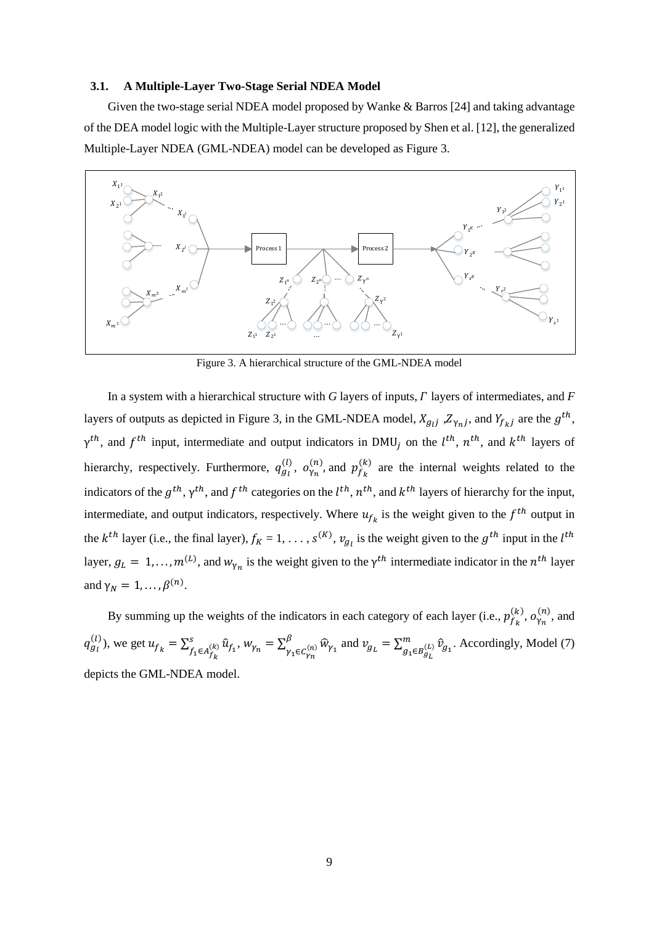#### **3.1. A Multiple-Layer Two-Stage Serial NDEA Model**

Given the two-stage serial NDEA model proposed by Wanke & Barros [24] and taking advantage of the DEA model logic with the Multiple-Layer structure proposed by Shen et al. [12], the generalized Multiple-Layer NDEA (GML-NDEA) model can be developed as Figure 3.



Figure 3. A hierarchical structure of the GML-NDEA model

In a system with a hierarchical structure with  $G$  layers of inputs,  $\Gamma$  layers of intermediates, and  $F$ layers of outputs as depicted in Figure 3, in the GML-NDEA model,  $X_{g_{ij}}$ ,  $Z_{\gamma_{nj}}$ , and  $Y_{f_{kj}}$  are the  $g^{th}$ ,  $\gamma^{th}$ , and  $f^{th}$  input, intermediate and output indicators in DMU<sub>j</sub> on the  $l^{th}$ ,  $n^{th}$ , and  $k^{th}$  layers of hierarchy, respectively. Furthermore,  $q_{g_l}^{(l)}$ ,  $o_{\gamma_n}^{(n)}$ , and  $p_{f_k}^{(k)}$  are the internal weights related to the indicators of the  $g^{th}$ ,  $\gamma^{th}$ , and  $f^{th}$  categories on the  $l^{th}$ ,  $n^{th}$ , and  $k^{th}$  layers of hierarchy for the input, intermediate, and output indicators, respectively. Where  $u_{f_k}$  is the weight given to the  $f^{th}$  output in the  $k^{th}$  layer (i.e., the final layer),  $f_k = 1, \ldots, s^{(K)}$ ,  $v_{g_l}$  is the weight given to the  $g^{th}$  input in the  $l^{th}$ layer,  $g_L = 1, ..., m^{(L)}$ , and  $w_{\gamma_n}$  is the weight given to the  $\gamma^{th}$  intermediate indicator in the  $n^{th}$  layer and  $\gamma_N = 1, \ldots, \beta^{(n)}$ .

By summing up the weights of the indicators in each category of each layer (i.e.,  $p_{f_k}^{(k)}$ ,  $o_{\gamma_n}^{(n)}$ , and  $q_{g_l}^{(l)}$ ), we get  $u_{f_k} = \sum_{f_1 \in A_{f_l}^{(k)}}^s \hat{u}_{f_1}$  $S_{f_1 \in A_{f_k}}^{(k)} \hat{u}_{f_1}, w_{\gamma_n} = \sum_{\gamma_1 \in C_{\gamma_n}}^{\beta} \hat{w}_{\gamma_1}$  $\int_{\gamma_1 \in C_{\gamma_n}}^{\beta} \widehat{w}_{\gamma_1}$  and  $v_{g_L} = \sum_{g_1 \in B_{g_L}}^m \widehat{v}_{g_1}$  $g_1 ∈ B_{g_L}$  $_{(L)} \hat{v}_{g_1}$ . Accordingly, Model (7) depicts the GML-NDEA model.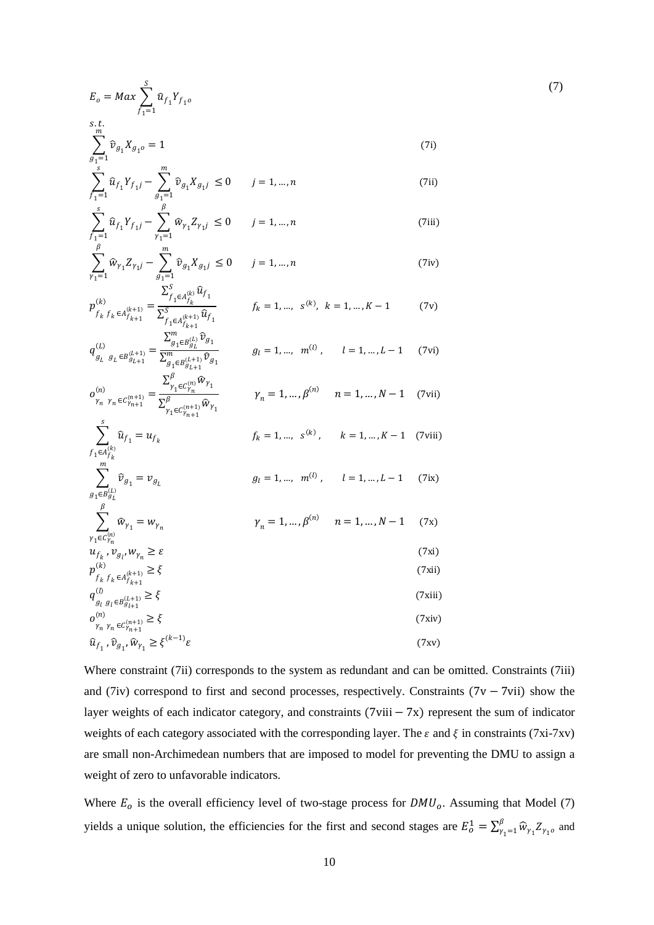<span id="page-9-0"></span>
$$
E_o = Max \sum_{f_1=1}^{S} \hat{u}_{f_1} Y_{f_1 o}
$$
  
s.t.  

$$
\sum_{g_1=1}^{m} \hat{v}_{g_1} X_{g_1 o} = 1
$$
 (7i)

$$
\sum_{f_1=1}^s \widehat{u}_{f_1} Y_{f_1 j} - \sum_{g_1=1}^m \widehat{v}_{g_1} X_{g_1 j} \le 0 \qquad j = 1, ..., n
$$
\n(7ii)

$$
\sum_{f_1=1}^s \hat{u}_{f_1} Y_{f_1 j} - \sum_{\gamma_1=1}^{\beta} \hat{w}_{\gamma_1} Z_{\gamma_1 j} \le 0 \qquad j = 1, ..., n
$$
\n(7iii)

$$
\sum_{\gamma_1=1}^{\beta} \widehat{w}_{\gamma_1} Z_{\gamma_1 j} - \sum_{g_1=1}^{m} \widehat{v}_{g_1} X_{g_1 j} \le 0 \qquad j = 1, ..., n
$$
 (7iv)

$$
p_{f_k f_k \epsilon A_{f_{k+1}}^{(k+1)}}^{(k)} = \frac{\sum_{f_1 \epsilon A_{f_k}^{(k)}}^{S} \hat{u}_{f_1}}{\sum_{f_1 \epsilon A_{f_{k+1}}^{(k+1)}}^{S} \hat{u}_{f_1}} \qquad f_k = 1, ..., s^{(k)}, \quad k = 1, ..., K-1 \tag{7v}
$$

$$
q_{g_L g_L \epsilon B_{g_{L+1}}^{(L+1)}}^{(L)} = \frac{\sum_{g_1 \epsilon B_{g_L}^{(L)}}^m \hat{\mathcal{V}}_{g_1}}{\sum_{g_1 \epsilon B_{g_{L+1}}^{(L+1)}}^m \hat{\mathcal{V}}_{g_1}} \qquad g_l = 1, ..., m^{(l)}, \qquad l = 1, ..., L-1 \qquad (7vi)
$$

$$
\sigma_{\gamma_n \gamma_n \in C_{\gamma_{n+1}}^{(n+1)}}^{(n)} = \frac{\sum_{\gamma_1 \in C_{\gamma_n}^{(n)}}^{\gamma_n w_{\gamma_1}}}{\sum_{\gamma_1 \in C_{\gamma_{n+1}}^{(n+1)}}^{\beta} \widehat{w}_{\gamma_1}} \qquad \gamma_n = 1, ..., \beta^{(n)} \qquad n = 1, ..., N-1 \qquad (7 \text{vii})
$$

$$
\sum_{\substack{f_1 \in A_{f_k}^{(k)}}} \hat{u}_{f_1} = u_{f_k} \qquad f_k = 1, ..., s^{(k)}, \qquad k = 1, ..., K - 1 \quad \text{(7viii)}
$$

$$
\sum_{g_1 \in B_{g_l}^{(L)}} \hat{v}_{g_1} = v_{g_l} \qquad \qquad g_l = 1, ..., m^{(l)}, \qquad l = 1, ..., L-1 \qquad (7ix)
$$

$$
\sum_{\gamma_1 \in C_{\gamma_n}^{(n)}}^{\beta} \widehat{w}_{\gamma_1} = w_{\gamma_n} \qquad \gamma_n = 1, \dots, \beta^{(n)} \qquad n = 1, \dots, N-1 \qquad (7x)
$$
  

$$
u_{f_k}, v_{g_l}, w_{\gamma_n} \ge \varepsilon \qquad (7xi)
$$

$$
p_{f_k f_k \in A_{f_{k+1}}^{(k+1)}}^{(k)} \ge \xi
$$
\n(7xii)  
\n
$$
q_{g_l g_l \in B_{g_{l+1}}^{(k+1)}}^{(l)} \ge \xi
$$
\n(7xiii)  
\n
$$
o_{\gamma_n \gamma_n \in C_{\gamma_{n+1}}^{(n)}}^{(n)} \ge \xi
$$
\n(7xiv)

$$
\widehat{u}_{f_1}, \widehat{\nu}_{g_1}, \widehat{w}_{\gamma_1} \ge \xi^{(k-1)} \varepsilon \tag{77}
$$

Where constraint (7ii) corresponds to the system as redundant and can be omitted. Constraints (7iii) and (7iv) correspond to first and second processes, respectively. Constraints (7v − 7vii) show the layer weights of each indicator category, and constraints (7viii − 7x) represent the sum of indicator weights of each category associated with the corresponding layer. The  $\varepsilon$  and  $\xi$  in constraints (7xi-7xv) are small non-Archimedean numbers that are imposed to model for preventing the DMU to assign a weight of zero to unfavorable indicators.

Where  $E_0$  is the overall efficiency level of two-stage process for  $DMU_0$ . Assuming that Model (7) yields a unique solution, the efficiencies for the first and second stages are  $E_0^1 = \sum_{\gamma_1=1}^{\beta} \widehat{w}_{\gamma_1} Z_{\gamma_1}$  and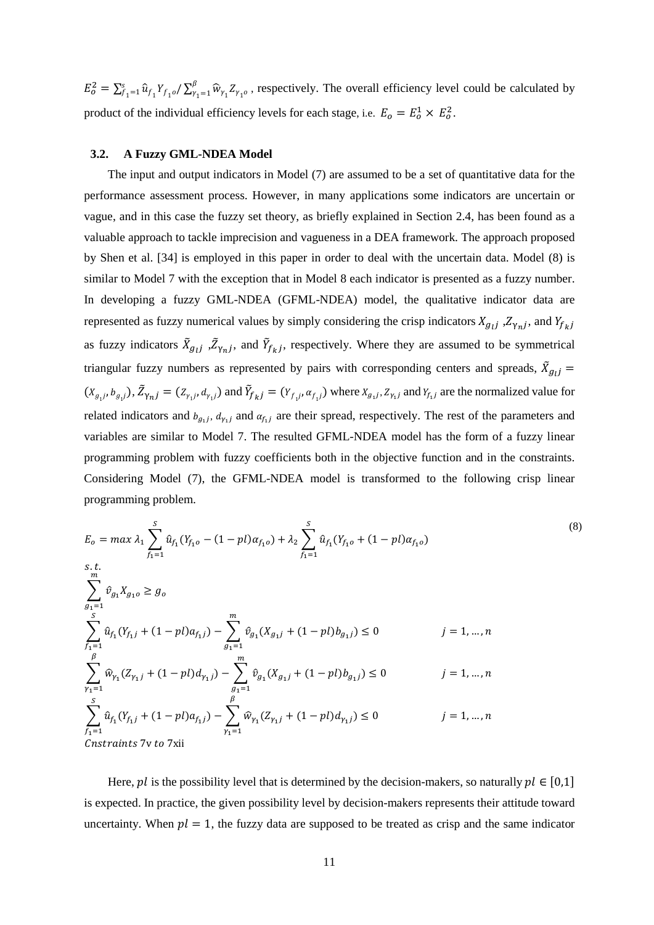$E_o^2 = \sum_{f_1=1}^s \hat{u}_{f_1} Y_{f_1 o} / \sum_{\gamma_1=1}^{\beta} \hat{w}_{\gamma_1} Z_{\gamma_1 o}$  $\int_{f_1=1}^{s} \hat{u}_{f_1} Y_{f_1}$   $\int_{\gamma_1=1}^{b} \hat{w}_{\gamma_1} Z_{\gamma_1}$ , respectively. The overall efficiency level could be calculated by product of the individual efficiency levels for each stage, i.e.  $E_0 = E_0^1 \times E_0^2$ .

#### **3.2. A Fuzzy GML-NDEA Model**

The input and output indicators in Model [\(7\)](#page-9-0) are assumed to be a set of quantitative data for the performance assessment process. However, in many applications some indicators are uncertain or vague, and in this case the fuzzy set theory, as briefly explained in Section 2.4, has been found as a valuable approach to tackle imprecision and vagueness in a DEA framework. The approach proposed by Shen et al. [34] is employed in this paper in order to deal with the uncertain data. Model (8) is similar to Model 7 with the exception that in Model 8 each indicator is presented as a fuzzy number. In developing a fuzzy GML-NDEA (GFML-NDEA) model, the qualitative indicator data are represented as fuzzy numerical values by simply considering the crisp indicators  $X_{g_{1}j}$ ,  $Z_{\gamma_{n}j}$ , and  $Y_{f_{k}j}$ as fuzzy indicators  $\bar{X}_{g_l}$ ,  $\bar{Z}_{\gamma_n}$ , and  $\bar{Y}_{f_k}$ , respectively. Where they are assumed to be symmetrical triangular fuzzy numbers as represented by pairs with corresponding centers and spreads,  $\tilde{X}_{g_lj}$  =  $(X_{g_1j}, b_{g_1j})$ ,  $Z_{\gamma n j} = (Z_{\gamma_1j}, d_{\gamma_1j})$  and  $Y_{f_kj} = (Y_{f_1j}, a_{f_1j})$  where  $X_{g_1j}, Z_{\gamma_1j}$  and  $Y_{f_1j}$  are the normalized value for related indicators and  $b_{g_1j}$ ,  $d_{\gamma_1j}$  and  $a_{f_1j}$  are their spread, respectively. The rest of the parameters and variables are similar to Model 7. The resulted GFML-NDEA model has the form of a fuzzy linear programming problem with fuzzy coefficients both in the objective function and in the constraints. Considering Model [\(7\)](#page-9-0), the GFML-NDEA model is transformed to the following crisp linear programming problem.

<span id="page-10-0"></span>
$$
E_{o} = max \lambda_{1} \sum_{f_{1}=1}^{S} \hat{u}_{f_{1}}(Y_{f_{1}o} - (1-pl)\alpha_{f_{1}o}) + \lambda_{2} \sum_{f_{1}=1}^{S} \hat{u}_{f_{1}}(Y_{f_{1}o} + (1-pl)\alpha_{f_{1}o})
$$
\n
$$
s.t. \sum_{f_{1}=1}^{m} \hat{v}_{g_{1}} X_{g_{1}o} \ge g_{o}
$$
\n
$$
\sum_{f_{1}=1}^{S} \hat{u}_{f_{1}}(Y_{f_{1}j} + (1-pl)\alpha_{f_{1}j}) - \sum_{g_{1}=1}^{m} \hat{v}_{g_{1}}(X_{g_{1}j} + (1-pl)b_{g_{1}j}) \le 0 \qquad j = 1, ..., n
$$
\n
$$
\sum_{f_{1}=1}^{\beta} \hat{w}_{\gamma_{1}}(Z_{\gamma_{1}j} + (1-pl)d_{\gamma_{1}j}) - \sum_{g_{1}=1}^{m} \hat{v}_{g_{1}}(X_{g_{1}j} + (1-pl)b_{g_{1}j}) \le 0 \qquad j = 1, ..., n
$$
\n
$$
\sum_{f_{1}=1}^{S} \hat{u}_{f_{1}}(Y_{f_{1}j} + (1-pl)\alpha_{f_{1}j}) - \sum_{f_{1}=1}^{\beta} \hat{w}_{\gamma_{1}}(Z_{\gamma_{1}j} + (1-pl)d_{\gamma_{1}j}) \le 0 \qquad j = 1, ..., n
$$
\n
$$
C
$$

Here,  $pl$  is the possibility level that is determined by the decision-makers, so naturally  $pl \in [0,1]$ is expected. In practice, the given possibility level by decision-makers represents their attitude toward uncertainty. When  $pl = 1$ , the fuzzy data are supposed to be treated as crisp and the same indicator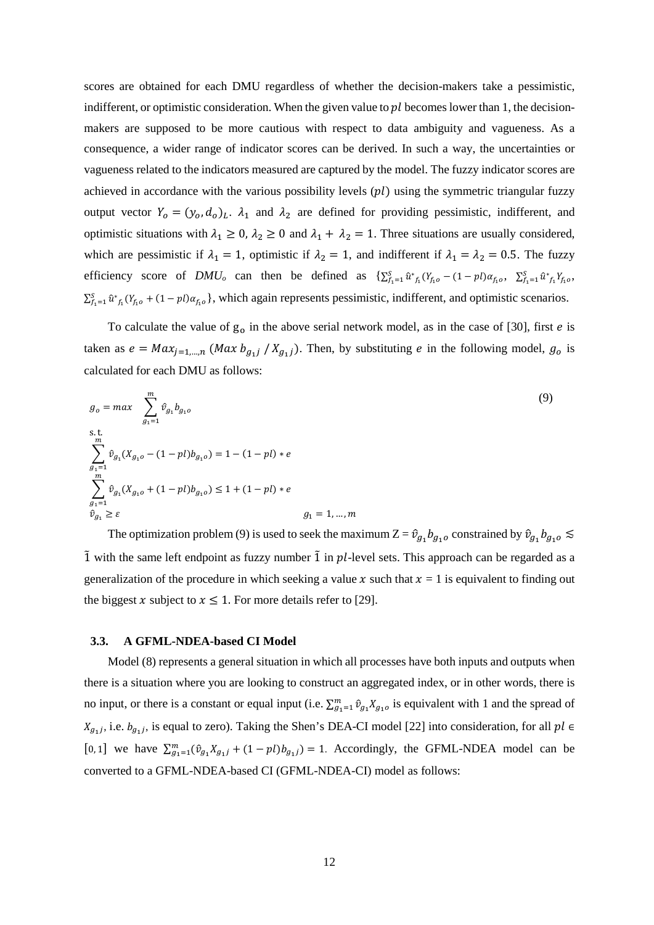scores are obtained for each DMU regardless of whether the decision-makers take a pessimistic, indifferent, or optimistic consideration. When the given value to  $\nu l$  becomes lower than 1, the decisionmakers are supposed to be more cautious with respect to data ambiguity and vagueness. As a consequence, a wider range of indicator scores can be derived. In such a way, the uncertainties or vagueness related to the indicators measured are captured by the model. The fuzzy indicator scores are achieved in accordance with the various possibility levels  $( pl )$  using the symmetric triangular fuzzy output vector  $Y_0 = (y_0, d_0)_L$ .  $\lambda_1$  and  $\lambda_2$  are defined for providing pessimistic, indifferent, and optimistic situations with  $\lambda_1 \ge 0$ ,  $\lambda_2 \ge 0$  and  $\lambda_1 + \lambda_2 = 1$ . Three situations are usually considered, which are pessimistic if  $\lambda_1 = 1$ , optimistic if  $\lambda_2 = 1$ , and indifferent if  $\lambda_1 = \lambda_2 = 0.5$ . The fuzzy efficiency score of  $DMU_0$  can then be defined as  $\sum_{f_1=1}^{S} \hat{u}_{f_1}^*(Y_{f_10} - (1 - pl)\alpha_{f_10}, \sum_{f_1=1}^{S} \hat{u}_{f_1}^*Y_{f_10},$  $\sum_{f_1=1}^{S} \hat{u}_{f_1}(Y_{f_1}^0 + (1-pI)\alpha_{f_1}^0)$ , which again represents pessimistic, indifferent, and optimistic scenarios.

To calculate the value of  $g_0$  in the above serial network model, as in the case of [30], first *e* is taken as  $e = Max_{j=1,\dots,n}$  (*Max*  $b_{g_1j} / X_{g_1j}$ ). Then, by substituting *e* in the following model,  $g_0$  is calculated for each DMU as follows:

$$
g_o = max \sum_{g_1=1}^{m} \hat{v}_{g_1} b_{g_1 o}
$$
  
s.t.  

$$
\sum_{g_1=1}^{m} \hat{v}_{g_1} (X_{g_1 o} - (1 - pl) b_{g_1 o}) = 1 - (1 - pl) * e
$$
  

$$
\sum_{g_1=1}^{m} \hat{v}_{g_1} (X_{g_1 o} + (1 - pl) b_{g_1 o}) \le 1 + (1 - pl) * e
$$
  

$$
\hat{v}_{g_1} \ge \varepsilon
$$
  

$$
g_1 = 1, ..., m
$$
 (9)

The optimization problem (9) is used to seek the maximum  $Z = \hat{v}_{g_1} b_{g_1}$  constrained by  $\hat{v}_{g_1} b_{g_1}$   $\leq$  $\tilde{1}$  with the same left endpoint as fuzzy number  $\tilde{1}$  in  $pl$ -level sets. This approach can be regarded as a generalization of the procedure in which seeking a value x such that  $x = 1$  is equivalent to finding out the biggest x subject to  $x \le 1$ . For more details refer to [29].

#### **3.3. A GFML-NDEA-based CI Model**

Model [\(8\)](#page-10-0) represents a general situation in which all processes have both inputs and outputs when there is a situation where you are looking to construct an aggregated index, or in other words, there is no input, or there is a constant or equal input (i.e.  $\sum_{g_1=1}^m \hat{v}_{g_1} X_{g_1}$  is equivalent with 1 and the spread of  $X_{g_1j}$ , i.e.  $b_{g_1j}$ , is equal to zero). Taking the Shen's DEA-CI model [22] into consideration, for all  $pl \in$ [0, 1] we have  $\sum_{g_1=1}^m (\hat{v}_{g_1} X_{g_1j} + (1-pl) b_{g_1j}) = 1$ . Accordingly, the GFML-NDEA model can be converted to a GFML-NDEA-based CI (GFML-NDEA-CI) model as follows: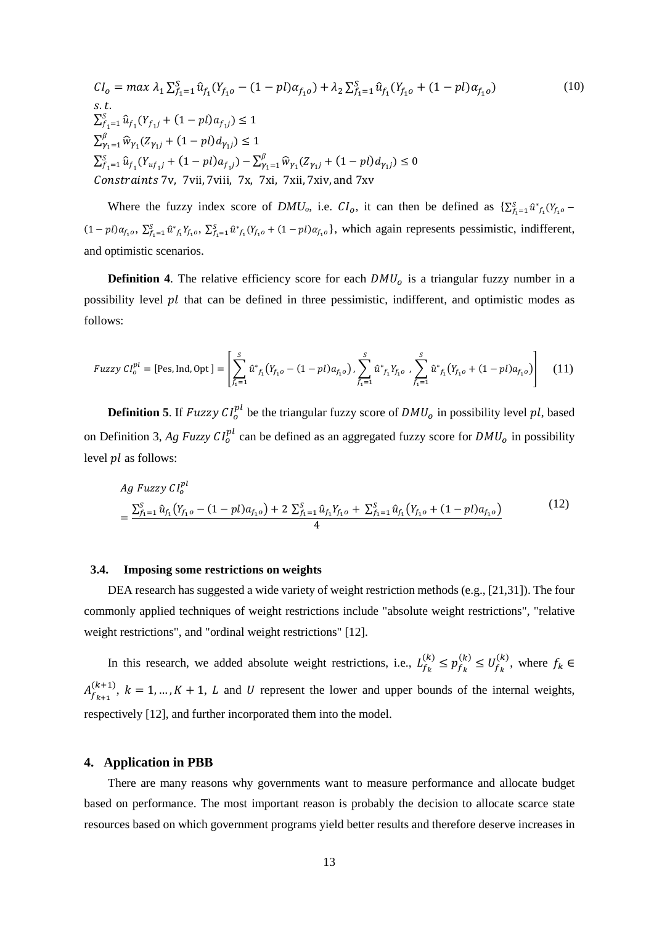$$
CI_{o} = max \lambda_{1} \sum_{f_{1}=1}^{S} \hat{u}_{f_{1}}(Y_{f_{1}o} - (1 - pl)\alpha_{f_{1}o}) + \lambda_{2} \sum_{f_{1}=1}^{S} \hat{u}_{f_{1}}(Y_{f_{1}o} + (1 - pl)\alpha_{f_{1}o})
$$
  
s.t.  

$$
\sum_{f_{1}=1}^{S} \hat{u}_{f_{1}}(Y_{f_{1}j} + (1 - pl)\alpha_{f_{1}j}) \le 1
$$
  

$$
\sum_{f_{1}=1}^{\beta} \hat{w}_{\gamma_{1}}(Z_{\gamma_{1}j} + (1 - pl)\alpha_{\gamma_{1}j}) \le 1
$$
  

$$
\sum_{f_{1}=1}^{S} \hat{u}_{f_{1}}(Y_{u f_{1}j} + (1 - pl)\alpha_{f_{1}j}) - \sum_{\gamma_{1}=1}^{\beta} \hat{w}_{\gamma_{1}}(Z_{\gamma_{1}j} + (1 - pl)\alpha_{\gamma_{1}j}) \le 0
$$
  
Constraints 7v, 7vii, 7viii, 7x, 7xi, 7xii, 7xiv, and 7xv

Where the fuzzy index score of  $DMU_o$ , i.e.  $CI_o$ , it can then be defined as  $\{\sum_{f_1=1}^{S} \hat{u}^*_{f_1}(Y_{f_1o} (1-pl)\alpha_{f_1o}, \sum_{f_1=1}^{S} \hat{u}_{f_1}^* Y_{f_1o}, \sum_{f_1=1}^{S} \hat{u}_{f_1}^* (Y_{f_1o} + (1-pl)\alpha_{f_1o})$ , which again represents pessimistic, indifferent, and optimistic scenarios.

**Definition 4**. The relative efficiency score for each  $DMU<sub>o</sub>$  is a triangular fuzzy number in a possibility level  $pl$  that can be defined in three pessimistic, indifferent, and optimistic modes as follows:

*Fuzzy* 
$$
CI_o^{pl}
$$
 = [Pes, Ind, Opt] = 
$$
\left[ \sum_{f_1=1}^{S} \hat{u}^*_{f_1}(Y_{f_1o} - (1-pl)a_{f_1o}), \sum_{f_1=1}^{S} \hat{u}^*_{f_1}Y_{f_1o}, \sum_{f_1=1}^{S} \hat{u}^*_{f_1}(Y_{f_1o} + (1-pl)a_{f_1o}) \right]
$$
(11)

**Definition 5**. If  $Fuzzy Cl<sub>o</sub><sup>pl</sup>$  be the triangular fuzzy score of  $DMU<sub>o</sub>$  in possibility level pl, based on Definition 3, Ag Fuzzy  $Cl_0^{pl}$  can be defined as an aggregated fuzzy score for  $DMU_0$  in possibility level  $pl$  as follows:

$$
Ag \ Fuzzy \ Cl_o^{pl}
$$
\n
$$
= \frac{\sum_{f_1=1}^S \hat{u}_{f_1} (Y_{f_1o} - (1-pl)a_{f_1o}) + 2 \sum_{f_1=1}^S \hat{u}_{f_1} Y_{f_1o} + \sum_{f_1=1}^S \hat{u}_{f_1} (Y_{f_1o} + (1-pl)a_{f_1o})}{4}
$$
\n(12)

#### **3.4. Imposing some restrictions on weights**

DEA research has suggested a wide variety of weight restriction methods (e.g., [21,31]). The four commonly applied techniques of weight restrictions include "absolute weight restrictions", "relative weight restrictions", and "ordinal weight restrictions" [12].

In this research, we added absolute weight restrictions, i.e.,  $L_{f_k}^{(k)} \leq p_{f_k}^{(k)} \leq U_{f_k}^{(k)}$ , where  $f_k \in$  $A_{f_{k+1}}^{(k+1)}$ ,  $k = 1, ..., K + 1$ , L and U represent the lower and upper bounds of the internal weights, respectively [12], and further incorporated them into the model.

## **4. Application in PBB**

There are many reasons why governments want to measure performance and allocate budget based on performance. The most important reason is probably the decision to allocate scarce state resources based on which government programs yield better results and therefore deserve increases in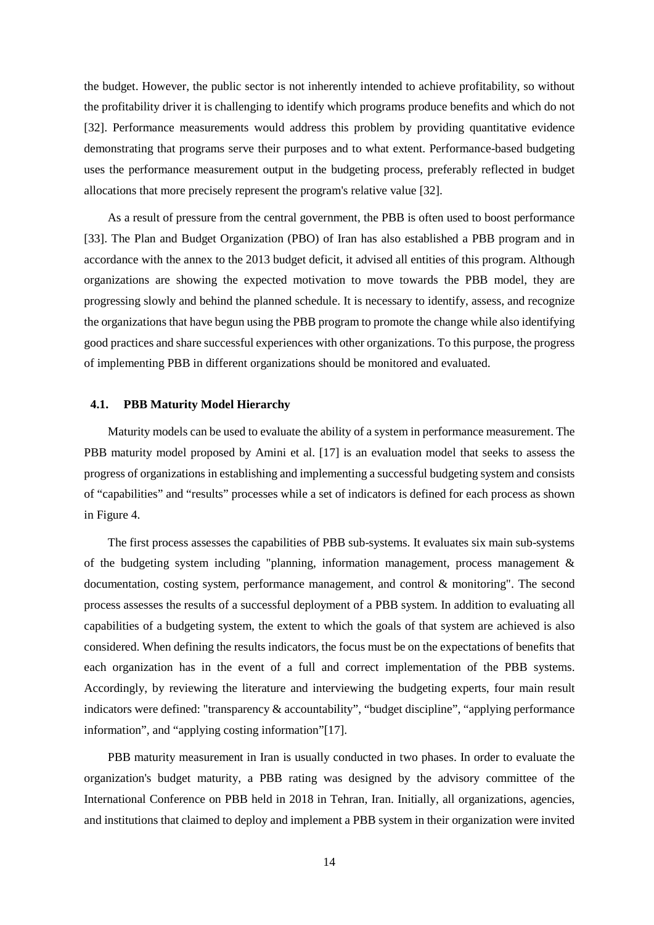the budget. However, the public sector is not inherently intended to achieve profitability, so without the profitability driver it is challenging to identify which programs produce benefits and which do not [32]. Performance measurements would address this problem by providing quantitative evidence demonstrating that programs serve their purposes and to what extent. Performance-based budgeting uses the performance measurement output in the budgeting process, preferably reflected in budget allocations that more precisely represent the program's relative value [32].

As a result of pressure from the central government, the PBB is often used to boost performance [33]. The Plan and Budget Organization (PBO) of Iran has also established a PBB program and in accordance with the annex to the 2013 budget deficit, it advised all entities of this program. Although organizations are showing the expected motivation to move towards the PBB model, they are progressing slowly and behind the planned schedule. It is necessary to identify, assess, and recognize the organizations that have begun using the PBB program to promote the change while also identifying good practices and share successful experiences with other organizations. To this purpose, the progress of implementing PBB in different organizations should be monitored and evaluated.

## **4.1. PBB Maturity Model Hierarchy**

Maturity models can be used to evaluate the ability of a system in performance measurement. The PBB maturity model proposed by Amini et al. [17] is an evaluation model that seeks to assess the progress of organizations in establishing and implementing a successful budgeting system and consists of "capabilities" and "results" processes while a set of indicators is defined for each process as shown in [Figure 4.](#page-15-0)

The first process assesses the capabilities of PBB sub-systems. It evaluates six main sub-systems of the budgeting system including "planning, information management, process management & documentation, costing system, performance management, and control & monitoring". The second process assesses the results of a successful deployment of a PBB system. In addition to evaluating all capabilities of a budgeting system, the extent to which the goals of that system are achieved is also considered. When defining the results indicators, the focus must be on the expectations of benefits that each organization has in the event of a full and correct implementation of the PBB systems. Accordingly, by reviewing the literature and interviewing the budgeting experts, four main result indicators were defined: "transparency & accountability", "budget discipline", "applying performance information", and "applying costing information"[17].

PBB maturity measurement in Iran is usually conducted in two phases. In order to evaluate the organization's budget maturity, a PBB rating was designed by the advisory committee of the International Conference on PBB held in 2018 in Tehran, Iran. Initially, all organizations, agencies, and institutions that claimed to deploy and implement a PBB system in their organization were invited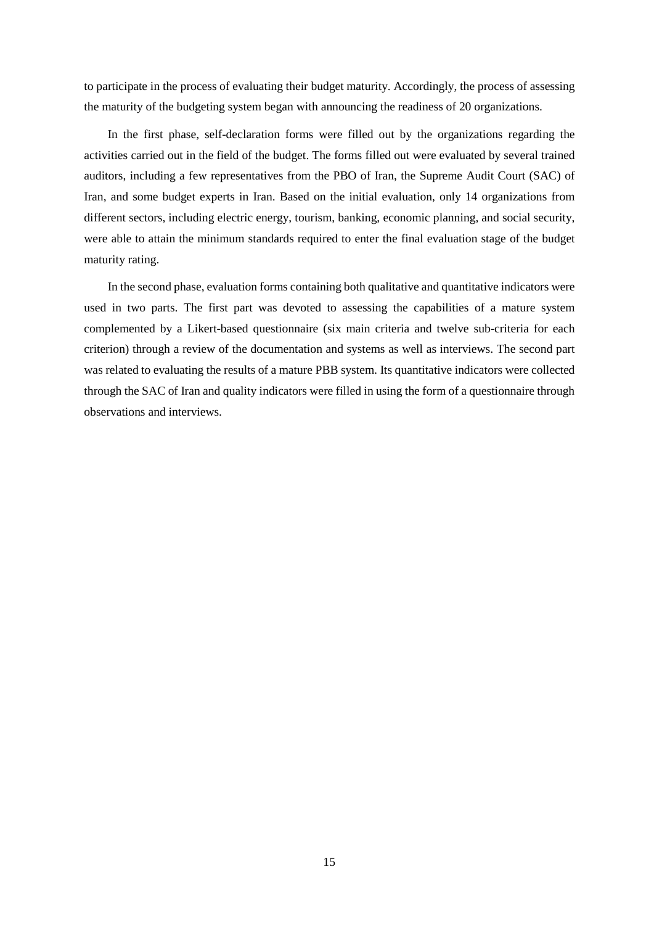to participate in the process of evaluating their budget maturity. Accordingly, the process of assessing the maturity of the budgeting system began with announcing the readiness of 20 organizations.

In the first phase, self-declaration forms were filled out by the organizations regarding the activities carried out in the field of the budget. The forms filled out were evaluated by several trained auditors, including a few representatives from the PBO of Iran, the Supreme Audit Court (SAC) of Iran, and some budget experts in Iran. Based on the initial evaluation, only 14 organizations from different sectors, including electric energy, tourism, banking, economic planning, and social security, were able to attain the minimum standards required to enter the final evaluation stage of the budget maturity rating.

In the second phase, evaluation forms containing both qualitative and quantitative indicators were used in two parts. The first part was devoted to assessing the capabilities of a mature system complemented by a Likert-based questionnaire (six main criteria and twelve sub-criteria for each criterion) through a review of the documentation and systems as well as interviews. The second part was related to evaluating the results of a mature PBB system. Its quantitative indicators were collected through the SAC of Iran and quality indicators were filled in using the form of a questionnaire through observations and interviews.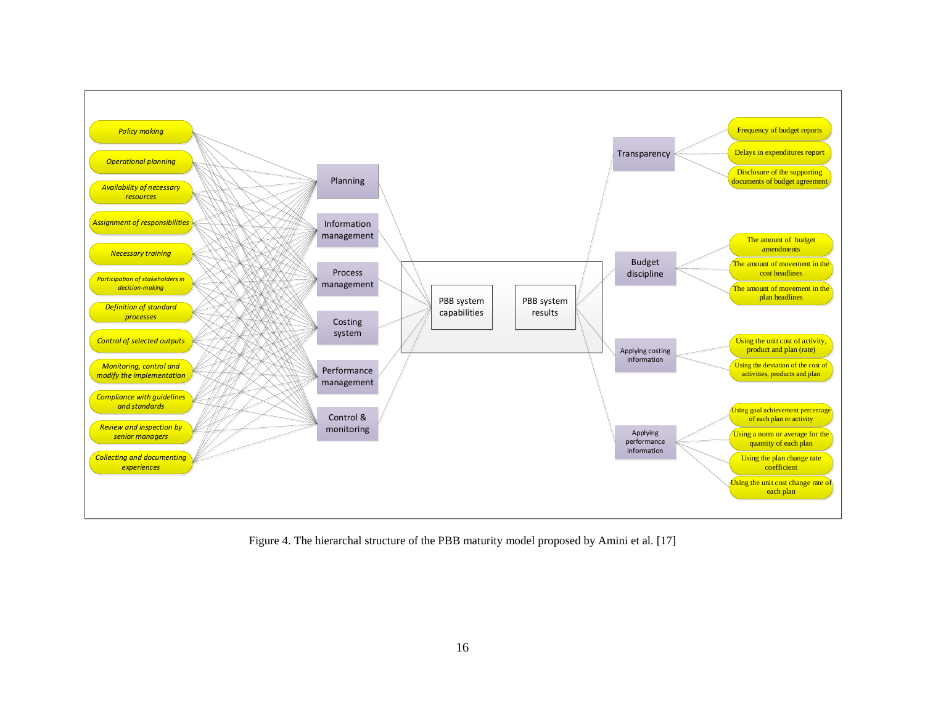

<span id="page-15-0"></span>Figure 4. The hierarchal structure of the PBB maturity model proposed by Amini et al. [17]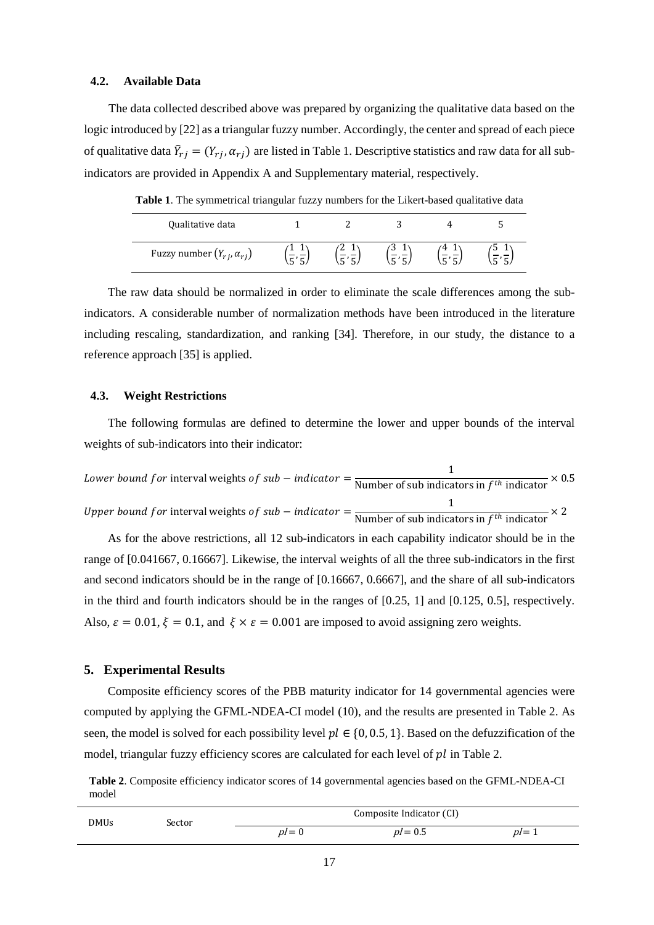## **4.2. Available Data**

The data collected described above was prepared by organizing the qualitative data based on the logic introduced by [22] as a triangular fuzzy number. Accordingly, the center and spread of each piece of qualitative data  $\bar{Y}_{rj} = (Y_{rj}, \alpha_{rj})$  are listed i[n Table 1.](#page-16-0) Descriptive statistics and raw data for all subindicators are provided in Appendix A and Supplementary material, respectively.

<span id="page-16-0"></span>**Table 1**. The symmetrical triangular fuzzy numbers for the Likert-based qualitative data

| Qualitative data                     |   |  |  |
|--------------------------------------|---|--|--|
| Fuzzy number $(Y_{rj}, \alpha_{rj})$ | ∼ |  |  |

The raw data should be normalized in order to eliminate the scale differences among the subindicators. A considerable number of normalization methods have been introduced in the literature including rescaling, standardization, and ranking [34]. Therefore, in our study, the distance to a reference approach [35] is applied.

## **4.3. Weight Restrictions**

The following formulas are defined to determine the lower and upper bounds of the interval weights of sub-indicators into their indicator:

Lower bound for interval weights of sub – indicator =  $\frac{1}{\text{Number of sub indicators in } f^{th} \text{ indicator}} \times 0.5$ Upper bound for interval weights of sub – indicator =  $\frac{1}{\text{Number of sub indicators in }f^{th} \text{ indicator}} \times 2$ 

As for the above restrictions, all 12 sub-indicators in each capability indicator should be in the range of [0.041667, 0.16667]. Likewise, the interval weights of all the three sub-indicators in the first and second indicators should be in the range of [0.16667, 0.6667], and the share of all sub-indicators in the third and fourth indicators should be in the ranges of [0.25, 1] and [0.125, 0.5], respectively. Also,  $\varepsilon = 0.01$ ,  $\xi = 0.1$ , and  $\xi \times \varepsilon = 0.001$  are imposed to avoid assigning zero weights.

## **5. Experimental Results**

Composite efficiency scores of the PBB maturity indicator for 14 governmental agencies were computed by applying the GFML-NDEA-CI model (10), and the results are presented in Table 2. As seen, the model is solved for each possibility level  $pl \in \{0, 0.5, 1\}$ . Based on the defuzzification of the model, triangular fuzzy efficiency scores are calculated for each level of  $pl$  in Table 2.

<span id="page-16-1"></span>**Table 2**. Composite efficiency indicator scores of 14 governmental agencies based on the GFML-NDEA-CI model

| DMUs | .sector | Composite Indicator (CI) |           |       |  |  |  |
|------|---------|--------------------------|-----------|-------|--|--|--|
|      |         | $p=0$                    | $p = 0.5$ | $p=1$ |  |  |  |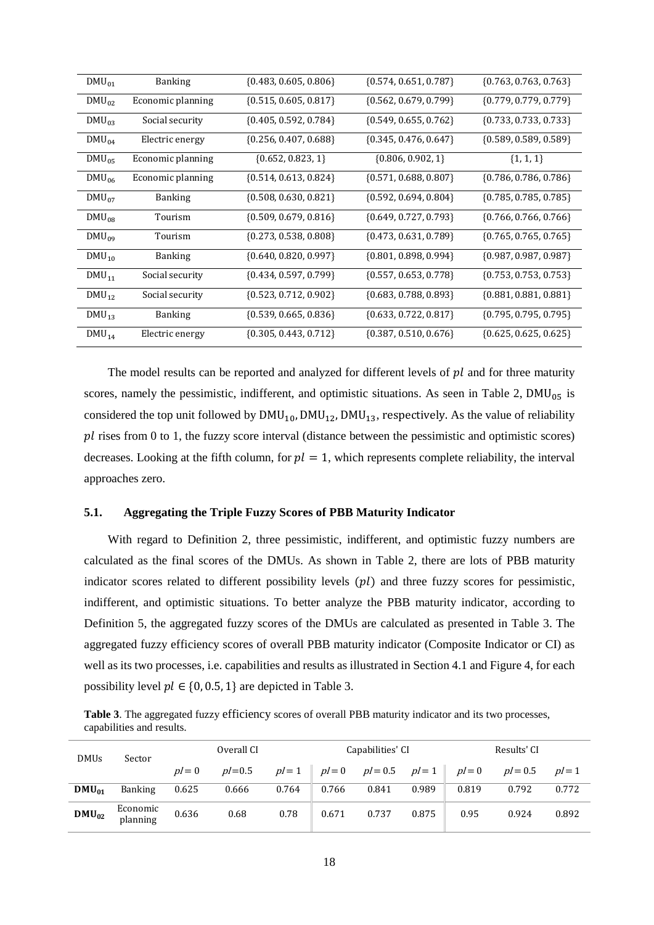| $DMU_{01}$  | <b>Banking</b>    | $\{0.483, 0.605, 0.806\}$ | ${0.574, 0.651, 0.787}$   | $\{0.763, 0.763, 0.763\}$ |
|-------------|-------------------|---------------------------|---------------------------|---------------------------|
| $DMU_{02}$  | Economic planning | $\{0.515, 0.605, 0.817\}$ | $\{0.562, 0.679, 0.799\}$ | $\{0.779, 0.779, 0.779\}$ |
| $DMU_{03}$  | Social security   | $\{0.405, 0.592, 0.784\}$ | ${0.549, 0.655, 0.762}$   | $\{0.733, 0.733, 0.733\}$ |
| $DMU_{04}$  | Electric energy   | $\{0.256, 0.407, 0.688\}$ | $\{0.345, 0.476, 0.647\}$ | $\{0.589, 0.589, 0.589\}$ |
| $DMU_{05}$  | Economic planning | $\{0.652, 0.823, 1\}$     | $\{0.806, 0.902, 1\}$     | $\{1, 1, 1\}$             |
| $DMU_{06}$  | Economic planning | $\{0.514, 0.613, 0.824\}$ | $\{0.571, 0.688, 0.807\}$ | $\{0.786, 0.786, 0.786\}$ |
| $DMU_{07}$  | <b>Banking</b>    | $\{0.508, 0.630, 0.821\}$ | $\{0.592, 0.694, 0.804\}$ | $\{0.785, 0.785, 0.785\}$ |
| $DMU_{0.8}$ | Tourism           | $\{0.509, 0.679, 0.816\}$ | $\{0.649, 0.727, 0.793\}$ | $\{0.766, 0.766, 0.766\}$ |
| $DMU_{09}$  | Tourism           | $\{0.273, 0.538, 0.808\}$ | $\{0.473, 0.631, 0.789\}$ | $\{0.765, 0.765, 0.765\}$ |
| $DMU_{10}$  | <b>Banking</b>    | $\{0.640, 0.820, 0.997\}$ | ${0.801, 0.898, 0.994}$   | ${0.987, 0.987, 0.987}$   |
| $DMU_{11}$  | Social security   | ${0.434, 0.597, 0.799}$   | ${0.557, 0.653, 0.778}$   | $\{0.753, 0.753, 0.753\}$ |
| $DMU_{12}$  | Social security   | ${0.523, 0.712, 0.902}$   | ${0.683, 0.788, 0.893}$   | ${0.881, 0.881, 0.881}$   |
| $DMU_{13}$  | <b>Banking</b>    | $\{0.539, 0.665, 0.836\}$ | ${0.633, 0.722, 0.817}$   | ${0.795, 0.795, 0.795}$   |
| $DMU_{14}$  | Electric energy   | $\{0.305, 0.443, 0.712\}$ | ${0.387, 0.510, 0.676}$   | $\{0.625, 0.625, 0.625\}$ |

The model results can be reported and analyzed for different levels of  $pl$  and for three maturity scores, namely the pessimistic, indifferent, and optimistic situations. As seen in Table 2,  $DMU_{05}$  is considered the top unit followed by  $DMU_{10}$ ,  $DMU_{12}$ ,  $DMU_{13}$ , respectively. As the value of reliability  $pl$  rises from 0 to 1, the fuzzy score interval (distance between the pessimistic and optimistic scores) decreases. Looking at the fifth column, for  $pl = 1$ , which represents complete reliability, the interval approaches zero.

## **5.1. Aggregating the Triple Fuzzy Scores of PBB Maturity Indicator**

With regard to Definition 2, three pessimistic, indifferent, and optimistic fuzzy numbers are calculated as the final scores of the DMUs. As shown in [Table 2,](#page-16-1) there are lots of PBB maturity indicator scores related to different possibility levels  $( pl )$  and three fuzzy scores for pessimistic, indifferent, and optimistic situations. To better analyze the PBB maturity indicator, according to Definition 5, the aggregated fuzzy scores of the DMUs are calculated as presented in Table 3. The aggregated fuzzy efficiency scores of overall PBB maturity indicator (Composite Indicator or CI) as well as its two processes, i.e. capabilities and results as illustrated in Section 4.1 and Figure 4, for each possibility level  $pl \in \{0, 0.5, 1\}$  are depicted in Table 3.

**Table 3**. The aggregated fuzzy efficiency scores of overall PBB maturity indicator and its two processes, capabilities and results.

| <b>DMUs</b> | Sector               | Overall CI |            |        | Capabilities' CI |                              |       | Results' CI |           |        |
|-------------|----------------------|------------|------------|--------|------------------|------------------------------|-------|-------------|-----------|--------|
|             |                      | $pl=0$     | $p/ = 0.5$ | $pl=1$ |                  | $pl = 0$ $pl = 0.5$ $pl = 1$ |       | $pl=0$      | $p = 0.5$ | $pl=1$ |
| $DMU_{01}$  | <b>Banking</b>       | 0.625      | 0.666      | 0.764  | 0.766            | 0.841                        | 0.989 | 0.819       | 0.792     | 0.772  |
| $DMU_{02}$  | Economic<br>planning | 0.636      | 0.68       | 0.78   | 0.671            | 0.737                        | 0.875 | 0.95        | 0.924     | 0.892  |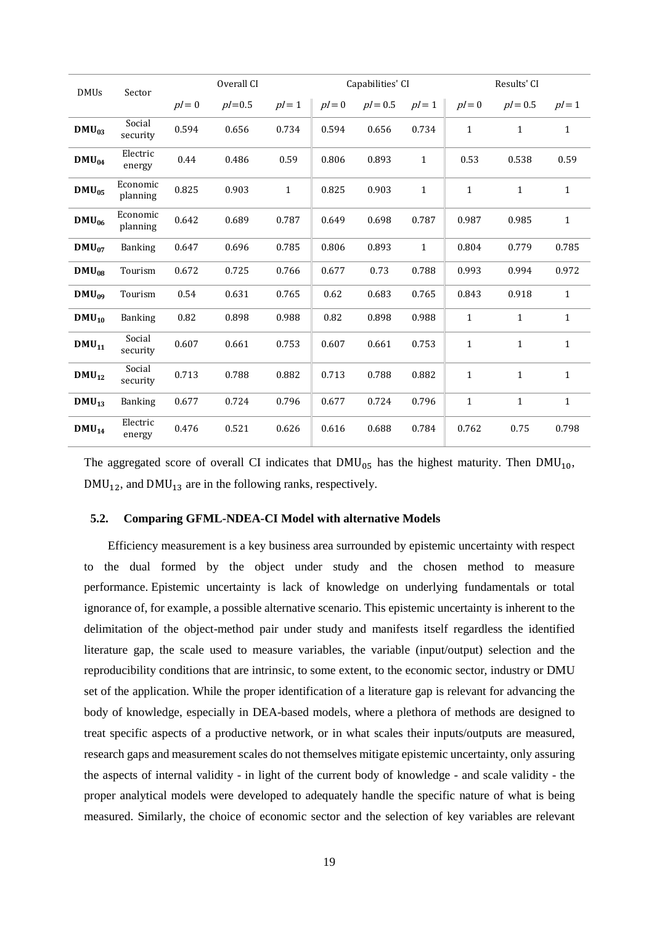| <b>DMUs</b> | Sector               |        | Overall CI  |              |        | Capabilities' CI |              | Results' CI  |              |              |
|-------------|----------------------|--------|-------------|--------------|--------|------------------|--------------|--------------|--------------|--------------|
|             |                      | $pl=0$ | $p/- = 0.5$ | $pl=1$       | $pl=0$ | $pl = 0.5$       | $pl=1$       | $pl=0$       | $pl = 0.5$   | $pl=1$       |
| $DMU_{03}$  | Social<br>security   | 0.594  | 0.656       | 0.734        | 0.594  | 0.656            | 0.734        | $\mathbf{1}$ | $\mathbf{1}$ | $\mathbf{1}$ |
| $DMU_{04}$  | Electric<br>energy   | 0.44   | 0.486       | 0.59         | 0.806  | 0.893            | $\mathbf{1}$ | 0.53         | 0.538        | 0.59         |
| $DMU_{05}$  | Economic<br>planning | 0.825  | 0.903       | $\mathbf{1}$ | 0.825  | 0.903            | $\mathbf{1}$ | $\mathbf{1}$ | $\mathbf{1}$ | $\mathbf{1}$ |
| $DMU_{06}$  | Economic<br>planning | 0.642  | 0.689       | 0.787        | 0.649  | 0.698            | 0.787        | 0.987        | 0.985        | $\mathbf{1}$ |
| $DMU_{07}$  | <b>Banking</b>       | 0.647  | 0.696       | 0.785        | 0.806  | 0.893            | $\mathbf{1}$ | 0.804        | 0.779        | 0.785        |
| $DMU_{08}$  | Tourism              | 0.672  | 0.725       | 0.766        | 0.677  | 0.73             | 0.788        | 0.993        | 0.994        | 0.972        |
| $DMU_{09}$  | Tourism              | 0.54   | 0.631       | 0.765        | 0.62   | 0.683            | 0.765        | 0.843        | 0.918        | $\mathbf{1}$ |
| $DMU_{10}$  | <b>Banking</b>       | 0.82   | 0.898       | 0.988        | 0.82   | 0.898            | 0.988        | $\mathbf{1}$ | $\mathbf{1}$ | $\mathbf{1}$ |
| $DMU_{11}$  | Social<br>security   | 0.607  | 0.661       | 0.753        | 0.607  | 0.661            | 0.753        | $\mathbf{1}$ | $\mathbf{1}$ | $\mathbf{1}$ |
| $DMU_{12}$  | Social<br>security   | 0.713  | 0.788       | 0.882        | 0.713  | 0.788            | 0.882        | $\mathbf{1}$ | $\mathbf{1}$ | $\mathbf{1}$ |
| $DMU_{13}$  | <b>Banking</b>       | 0.677  | 0.724       | 0.796        | 0.677  | 0.724            | 0.796        | $\mathbf{1}$ | $\mathbf{1}$ | $\mathbf{1}$ |
| $DMU_{14}$  | Electric<br>energy   | 0.476  | 0.521       | 0.626        | 0.616  | 0.688            | 0.784        | 0.762        | 0.75         | 0.798        |

The aggregated score of overall CI indicates that  $DMU_{05}$  has the highest maturity. Then  $DMU_{10}$ ,  $DMU_{12}$ , and  $DMU_{13}$  are in the following ranks, respectively.

## **5.2. Comparing GFML-NDEA-CI Model with alternative Models**

Efficiency measurement is a key business area surrounded by epistemic uncertainty with respect to the dual formed by the object under study and the chosen method to measure performance. Epistemic uncertainty is lack of knowledge on underlying fundamentals or total ignorance of, for example, a possible alternative scenario. This epistemic uncertainty is inherent to the delimitation of the object-method pair under study and manifests itself regardless the identified literature gap, the scale used to measure variables, the variable (input/output) selection and the reproducibility conditions that are intrinsic, to some extent, to the economic sector, industry or DMU set of the application. While the proper identification of a literature gap is relevant for advancing the body of knowledge, especially in DEA-based models, where a plethora of methods are designed to treat specific aspects of a productive network, or in what scales their inputs/outputs are measured, research gaps and measurement scales do not themselves mitigate epistemic uncertainty, only assuring the aspects of internal validity - in light of the current body of knowledge - and scale validity - the proper analytical models were developed to adequately handle the specific nature of what is being measured. Similarly, the choice of economic sector and the selection of key variables are relevant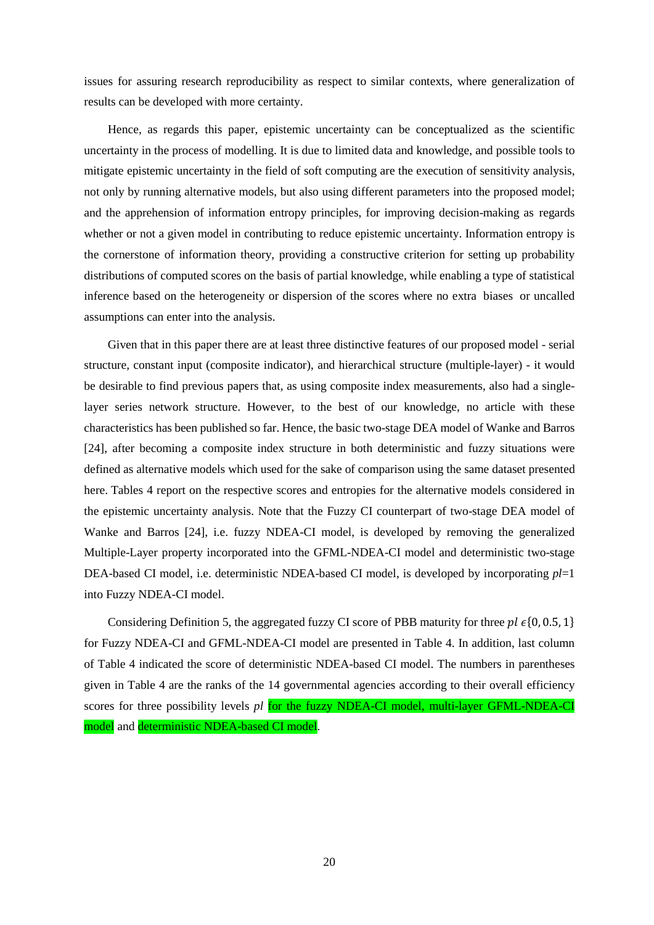issues for assuring research reproducibility as respect to similar contexts, where generalization of results can be developed with more certainty.

Hence, as regards this paper, epistemic uncertainty can be conceptualized as the scientific uncertainty in the process of modelling. It is due to limited data and knowledge, and possible tools to mitigate epistemic uncertainty in the field of soft computing are the execution of sensitivity analysis, not only by running alternative models, but also using different parameters into the proposed model; and the apprehension of information entropy principles, for improving decision-making as regards whether or not a given model in contributing to reduce epistemic uncertainty. Information entropy is the cornerstone of information theory, providing a constructive criterion for setting up probability distributions of computed scores on the basis of partial knowledge, while enabling a type of statistical inference based on the heterogeneity or dispersion of the scores where no extra biases or uncalled assumptions can enter into the analysis.

Given that in this paper there are at least three distinctive features of our proposed model - serial structure, constant input (composite indicator), and hierarchical structure (multiple-layer) - it would be desirable to find previous papers that, as using composite index measurements, also had a singlelayer series network structure. However, to the best of our knowledge, no article with these characteristics has been published so far. Hence, the basic two-stage DEA model of Wanke and Barros [24], after becoming a composite index structure in both deterministic and fuzzy situations were defined as alternative models which used for the sake of comparison using the same dataset presented here. Tables 4 report on the respective scores and entropies for the alternative models considered in the epistemic uncertainty analysis. Note that the Fuzzy CI counterpart of two-stage DEA model of Wanke and Barros [24], i.e. fuzzy NDEA-CI model, is developed by removing the generalized Multiple-Layer property incorporated into the GFML-NDEA-CI model and deterministic two-stage DEA-based CI model, i.e. deterministic NDEA-based CI model, is developed by incorporating *pl*=1 into Fuzzy NDEA-CI model.

<span id="page-19-0"></span>Considering Definition 5, the aggregated fuzzy CI score of PBB maturity for three  $pl \in \{0, 0.5, 1\}$ for Fuzzy NDEA-CI and GFML-NDEA-CI model are presented in [Table 4.](#page-19-0) In addition, last column of [Table 4](#page-19-0) indicated the score of deterministic NDEA-based CI model. The numbers in parentheses given in Table 4 are the ranks of the 14 governmental agencies according to their overall efficiency scores for three possibility levels *pl* for the fuzzy NDEA-CI model, multi-layer GFML-NDEA-CI model and deterministic NDEA-based CI model.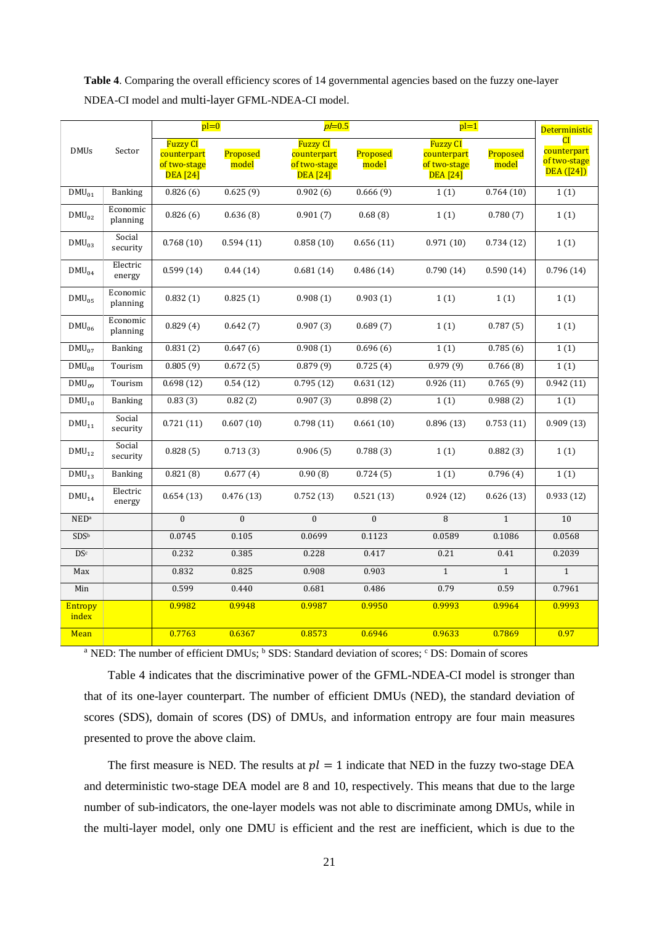**Table 4**. Comparing the overall efficiency scores of 14 governmental agencies based on the fuzzy one-layer NDEA-CI model and multi-layer GFML-NDEA-CI model.

|                  |                      | $pl=0$                                                            |                   | $p=0.5$                                                           |                   | $\overline{pl=1}$                                                 | <b>Deterministic</b>  |                                                |
|------------------|----------------------|-------------------------------------------------------------------|-------------------|-------------------------------------------------------------------|-------------------|-------------------------------------------------------------------|-----------------------|------------------------------------------------|
| <b>DMUs</b>      | Sector               | <b>Fuzzy CI</b><br>counterpart<br>of two-stage<br><b>DEA</b> [24] | Proposed<br>model | <b>Fuzzy CI</b><br>counterpart<br>of two-stage<br><b>DEA</b> [24] | Proposed<br>model | <b>Fuzzy CI</b><br>counterpart<br>of two-stage<br><b>DEA</b> [24] | Proposed<br>model     | CI<br>counterpart<br>of two-stage<br>DEA([24]) |
| $DMU_{01}$       | Banking              | 0.826(6)                                                          | 0.625(9)          | 0.902(6)                                                          | 0.666(9)          | 1(1)                                                              | 0.764(10)             | 1(1)                                           |
| $DMU_{02}$       | Economic<br>planning | 0.826(6)                                                          | 0.636(8)          | 0.901(7)                                                          | 0.68(8)           | 1(1)                                                              | 0.780(7)              | 1(1)                                           |
| $DMU_{03}$       | Social<br>security   | 0.768(10)                                                         | 0.594(11)         | 0.858(10)                                                         | 0.656(11)         | 0.971(10)                                                         | 0.734(12)             | 1(1)                                           |
| $DMU_{04}$       | Electric<br>energy   | 0.599(14)                                                         | 0.44(14)          | 0.681(14)                                                         | 0.486(14)         | 0.790(14)                                                         | 0.590(14)             | 0.796(14)                                      |
| $DMU_{05}$       | Economic<br>planning | 0.832(1)                                                          | 0.825(1)          | 0.908(1)                                                          | 0.903(1)          | 1(1)                                                              | 1(1)                  | 1(1)                                           |
| $DMU_{06}$       | Economic<br>planning | 0.829(4)                                                          | 0.642(7)          | 0.907(3)                                                          | 0.689(7)          | 1(1)                                                              | 0.787(5)              | 1(1)                                           |
| $DMU_{07}$       | <b>Banking</b>       | 0.831(2)                                                          | 0.647(6)          | 0.908(1)                                                          | 0.696(6)          | 1(1)                                                              | 0.785(6)              | 1(1)                                           |
| $DMU_{08}$       | Tourism              | 0.805(9)                                                          | 0.672(5)          | 0.879(9)                                                          | 0.725(4)          | 0.979(9)                                                          | 0.766(8)              | 1(1)                                           |
| $DMU_{09}$       | Tourism              | 0.698(12)                                                         | 0.54(12)          | 0.795(12)                                                         | 0.631(12)         | 0.926(11)                                                         | $\overline{0.765(9)}$ | 0.942(11)                                      |
| $DMU_{10}$       | <b>Banking</b>       | 0.83(3)                                                           | 0.82(2)           | 0.907(3)                                                          | 0.898(2)          | 1(1)                                                              | 0.988(2)              | 1(1)                                           |
| $DMU_{11}$       | Social<br>security   | 0.721(11)                                                         | 0.607(10)         | 0.798(11)                                                         | 0.661(10)         | 0.896(13)                                                         | 0.753(11)             | 0.909(13)                                      |
| $DMU_{12}$       | Social<br>security   | 0.828(5)                                                          | 0.713(3)          | 0.906(5)                                                          | 0.788(3)          | 1(1)                                                              | 0.882(3)              | 1(1)                                           |
| $DMU_{13}$       | Banking              | 0.821(8)                                                          | 0.677(4)          | 0.90(8)                                                           | 0.724(5)          | 1(1)                                                              | 0.796(4)              | 1(1)                                           |
| $DMU_{14}$       | Electric<br>energy   | 0.654(13)                                                         | 0.476(13)         | 0.752(13)                                                         | 0.521(13)         | 0.924(12)                                                         | 0.626(13)             | 0.933(12)                                      |
| NED <sup>a</sup> |                      | $\mathbf{0}$                                                      | $\Omega$          | $\Omega$                                                          | $\Omega$          | 8                                                                 | $\mathbf{1}$          | 10                                             |
| SDS <sup>b</sup> |                      | 0.0745                                                            | 0.105             | 0.0699                                                            | 0.1123            | 0.0589                                                            | 0.1086                | 0.0568                                         |
| DS <sup>c</sup>  |                      | 0.232                                                             | 0.385             | 0.228                                                             | 0.417             | 0.21                                                              | 0.41                  | 0.2039                                         |
| Max              |                      | 0.832                                                             | 0.825             | 0.908                                                             | 0.903             | $\mathbf{1}$                                                      | $\mathbf{1}$          | $\overline{1}$                                 |
| Min              |                      | 0.599                                                             | 0.440             | 0.681                                                             | 0.486             | 0.79                                                              | 0.59                  | 0.7961                                         |
| Entropy<br>index |                      | 0.9982                                                            | 0.9948            | 0.9987                                                            | 0.9950            | 0.9993                                                            | 0.9964                | 0.9993                                         |
| Mean             |                      | 0.7763                                                            | 0.6367            | 0.8573                                                            | 0.6946            | 0.9633                                                            | 0.7869                | 0.97                                           |

<sup>a</sup> NED: The number of efficient DMUs; <sup>b</sup> SDS: Standard deviation of scores; <sup>c</sup> DS: Domain of scores

[Table 4](#page-19-0) indicates that the discriminative power of the GFML-NDEA-CI model is stronger than that of its one-layer counterpart. The number of efficient DMUs (NED), the standard deviation of scores (SDS), domain of scores (DS) of DMUs, and information entropy are four main measures presented to prove the above claim.

The first measure is NED. The results at  $pl = 1$  indicate that NED in the fuzzy two-stage DEA and deterministic two-stage DEA model are 8 and 10, respectively. This means that due to the large number of sub-indicators, the one-layer models was not able to discriminate among DMUs, while in the multi-layer model, only one DMU is efficient and the rest are inefficient, which is due to the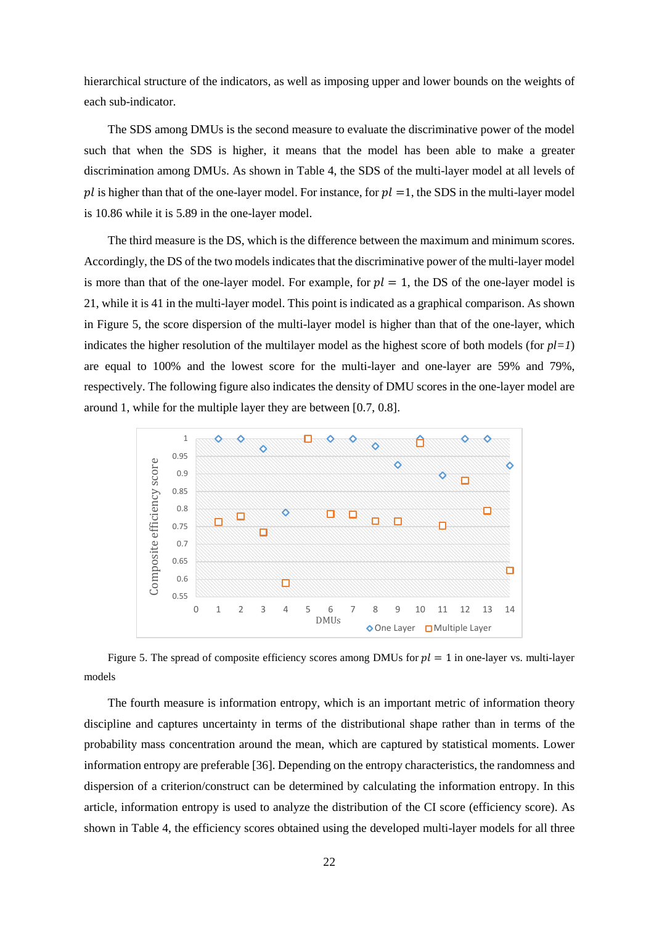hierarchical structure of the indicators, as well as imposing upper and lower bounds on the weights of each sub-indicator.

The SDS among DMUs is the second measure to evaluate the discriminative power of the model such that when the SDS is higher, it means that the model has been able to make a greater discrimination among DMUs. As shown in Table 4, the SDS of the multi-layer model at all levels of pl is higher than that of the one-layer model. For instance, for  $pl = 1$ , the SDS in the multi-layer model is 10.86 while it is 5.89 in the one-layer model.

The third measure is the DS, which is the difference between the maximum and minimum scores. Accordingly, the DS of the two models indicates that the discriminative power of the multi-layer model is more than that of the one-layer model. For example, for  $pl = 1$ , the DS of the one-layer model is 21, while it is 41 in the multi-layer model. This point is indicated as a graphical comparison. As shown in Figure 5, the score dispersion of the multi-layer model is higher than that of the one-layer, which indicates the higher resolution of the multilayer model as the highest score of both models (for  $p*l*=1$ ) are equal to 100% and the lowest score for the multi-layer and one-layer are 59% and 79%, respectively. The following figure also indicates the density of DMU scores in the one-layer model are around 1, while for the multiple layer they are between [0.7, 0.8].



Figure 5. The spread of composite efficiency scores among DMUs for  $pl = 1$  in one-layer vs. multi-layer models

The fourth measure is information entropy, which is an important metric of information theory discipline and captures uncertainty in terms of the distributional shape rather than in terms of the probability mass concentration around the mean, which are captured by statistical moments. Lower information entropy are preferable [36]. Depending on the entropy characteristics, the randomness and dispersion of a criterion/construct can be determined by calculating the information entropy. In this article, information entropy is used to analyze the distribution of the CI score (efficiency score). As shown in Table 4, the efficiency scores obtained using the developed multi-layer models for all three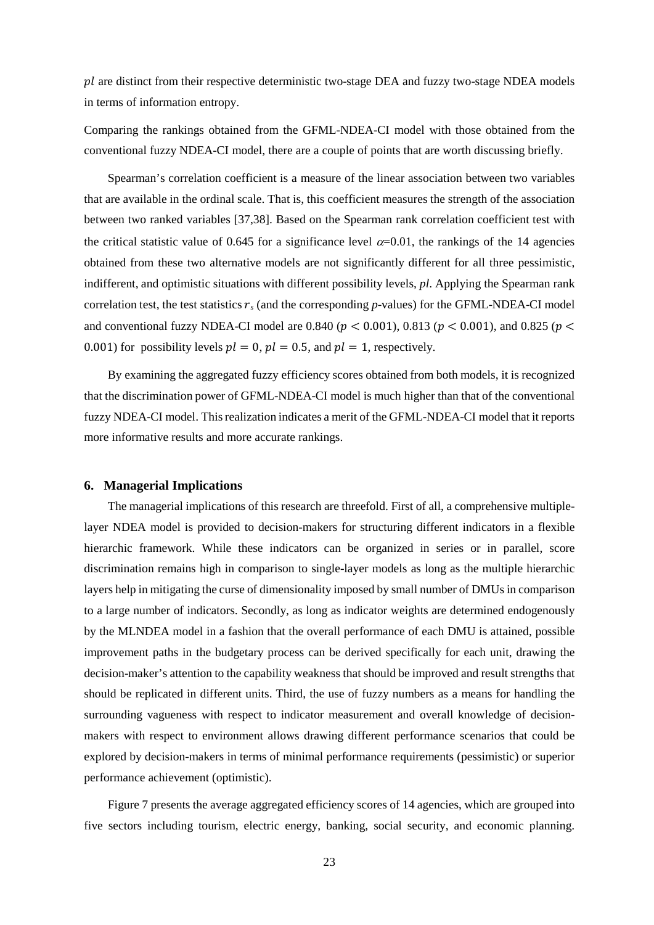$pl$  are distinct from their respective deterministic two-stage DEA and fuzzy two-stage NDEA models in terms of information entropy.

Comparing the rankings obtained from the GFML-NDEA-CI model with those obtained from the conventional fuzzy NDEA-CI model, there are a couple of points that are worth discussing briefly.

Spearman's correlation coefficient is a measure of the linear association between two variables that are available in the ordinal scale. That is, this coefficient measures the strength of the association between two ranked variables [37,38]. Based on the Spearman rank correlation coefficient test with the critical statistic value of 0.645 for a significance level  $\alpha$ =0.01, the rankings of the 14 agencies obtained from these two alternative models are not significantly different for all three pessimistic, indifferent, and optimistic situations with different possibility levels, *pl*. Applying the Spearman rank correlation test, the test statistics  $r_s$  (and the corresponding *p*-values) for the GFML-NDEA-CI model and conventional fuzzy NDEA-CI model are 0.840 ( $p < 0.001$ ), 0.813 ( $p < 0.001$ ), and 0.825 ( $p <$ 0.001) for possibility levels  $pl = 0$ ,  $pl = 0.5$ , and  $pl = 1$ , respectively.

By examining the aggregated fuzzy efficiency scores obtained from both models, it is recognized that the discrimination power of GFML-NDEA-CI model is much higher than that of the conventional fuzzy NDEA-CI model. This realization indicates a merit of the GFML-NDEA-CI model that it reports more informative results and more accurate rankings.

## **6. Managerial Implications**

The managerial implications of this research are threefold. First of all, a comprehensive multiplelayer NDEA model is provided to decision-makers for structuring different indicators in a flexible hierarchic framework. While these indicators can be organized in series or in parallel, score discrimination remains high in comparison to single-layer models as long as the multiple hierarchic layers help in mitigating the curse of dimensionality imposed by small number of DMUs in comparison to a large number of indicators. Secondly, as long as indicator weights are determined endogenously by the MLNDEA model in a fashion that the overall performance of each DMU is attained, possible improvement paths in the budgetary process can be derived specifically for each unit, drawing the decision-maker's attention to the capability weakness that should be improved and result strengths that should be replicated in different units. Third, the use of fuzzy numbers as a means for handling the surrounding vagueness with respect to indicator measurement and overall knowledge of decisionmakers with respect to environment allows drawing different performance scenarios that could be explored by decision-makers in terms of minimal performance requirements (pessimistic) or superior performance achievement (optimistic).

[Figure 7](#page-23-0) presents the average aggregated efficiency scores of 14 agencies, which are grouped into five sectors including tourism, electric energy, banking, social security, and economic planning.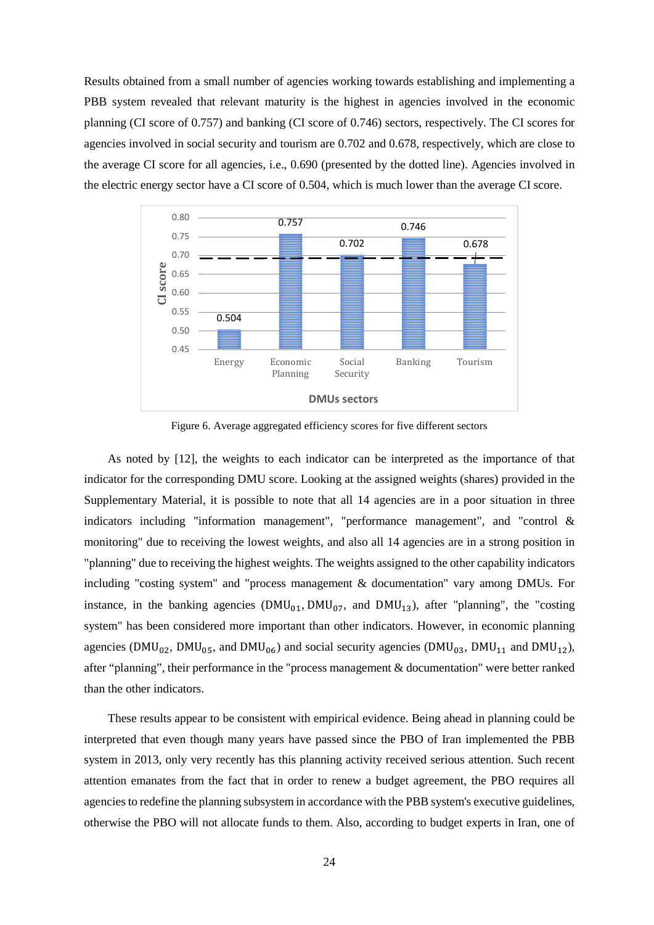Results obtained from a small number of agencies working towards establishing and implementing a PBB system revealed that relevant maturity is the highest in agencies involved in the economic planning (CI score of 0.757) and banking (CI score of 0.746) sectors, respectively. The CI scores for agencies involved in social security and tourism are 0.702 and 0.678, respectively, which are close to the average CI score for all agencies, i.e., 0.690 (presented by the dotted line). Agencies involved in the electric energy sector have a CI score of 0.504, which is much lower than the average CI score.



Figure 6. Average aggregated efficiency scores for five different sectors

<span id="page-23-0"></span>As noted by [12], the weights to each indicator can be interpreted as the importance of that indicator for the corresponding DMU score. Looking at the assigned weights (shares) provided in the Supplementary Material, it is possible to note that all 14 agencies are in a poor situation in three indicators including "information management", "performance management", and "control & monitoring" due to receiving the lowest weights, and also all 14 agencies are in a strong position in "planning" due to receiving the highest weights. The weights assigned to the other capability indicators including "costing system" and "process management & documentation" vary among DMUs. For instance, in the banking agencies  $(DMU_{01}, DMU_{07},$  and  $DMU_{13}$ ), after "planning", the "costing system" has been considered more important than other indicators. However, in economic planning agencies (DMU<sub>02</sub>, DMU<sub>05</sub>, and DMU<sub>06</sub>) and social security agencies (DMU<sub>03</sub>, DMU<sub>11</sub> and DMU<sub>12</sub>), after "planning", their performance in the "process management & documentation" were better ranked than the other indicators.

These results appear to be consistent with empirical evidence. Being ahead in planning could be interpreted that even though many years have passed since the PBO of Iran implemented the PBB system in 2013, only very recently has this planning activity received serious attention. Such recent attention emanates from the fact that in order to renew a budget agreement, the PBO requires all agencies to redefine the planning subsystem in accordance with the PBB system's executive guidelines, otherwise the PBO will not allocate funds to them. Also, according to budget experts in Iran, one of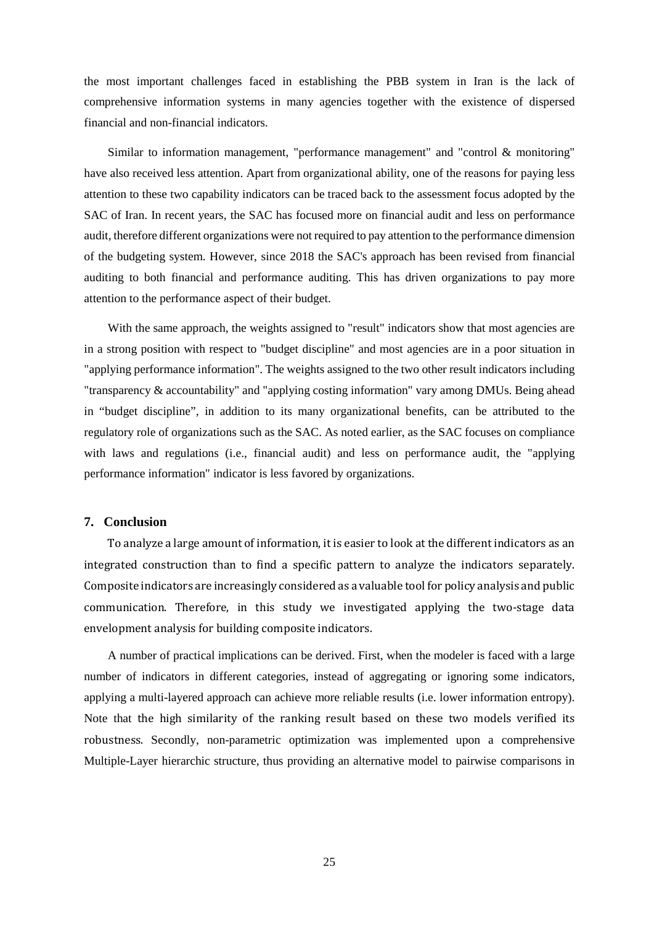the most important challenges faced in establishing the PBB system in Iran is the lack of comprehensive information systems in many agencies together with the existence of dispersed financial and non-financial indicators.

Similar to information management, "performance management" and "control & monitoring" have also received less attention. Apart from organizational ability, one of the reasons for paying less attention to these two capability indicators can be traced back to the assessment focus adopted by the SAC of Iran. In recent years, the SAC has focused more on financial audit and less on performance audit, therefore different organizations were not required to pay attention to the performance dimension of the budgeting system. However, since 2018 the SAC's approach has been revised from financial auditing to both financial and performance auditing. This has driven organizations to pay more attention to the performance aspect of their budget.

With the same approach, the weights assigned to "result" indicators show that most agencies are in a strong position with respect to "budget discipline" and most agencies are in a poor situation in "applying performance information". The weights assigned to the two other result indicators including "transparency & accountability" and "applying costing information" vary among DMUs. Being ahead in "budget discipline", in addition to its many organizational benefits, can be attributed to the regulatory role of organizations such as the SAC. As noted earlier, as the SAC focuses on compliance with laws and regulations (i.e., financial audit) and less on performance audit, the "applying performance information" indicator is less favored by organizations.

## **7. Conclusion**

To analyze a large amount of information, it is easier to look at the different indicators as an integrated construction than to find a specific pattern to analyze the indicators separately. Composite indicators are increasingly considered as a valuable tool for policy analysis and public communication. Therefore, in this study we investigated applying the two-stage data envelopment analysis for building composite indicators.

A number of practical implications can be derived. First, when the modeler is faced with a large number of indicators in different categories, instead of aggregating or ignoring some indicators, applying a multi-layered approach can achieve more reliable results (i.e. lower information entropy). Note that the high similarity of the ranking result based on these two models verified its robustness. Secondly, non-parametric optimization was implemented upon a comprehensive Multiple-Layer hierarchic structure, thus providing an alternative model to pairwise comparisons in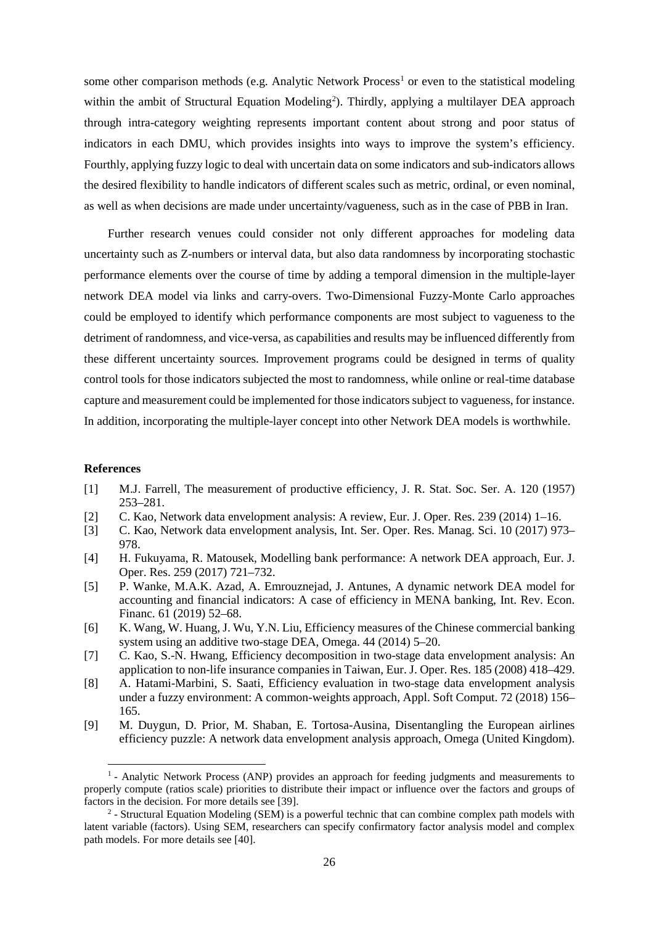some other comparison methods (e.g. Analytic Network Process<sup>[1](#page-25-0)</sup> or even to the statistical modeling within the ambit of Structural Equation Modeling<sup>2</sup>). Thirdly, applying a multilayer DEA approach through intra-category weighting represents important content about strong and poor status of indicators in each DMU, which provides insights into ways to improve the system's efficiency. Fourthly, applying fuzzy logic to deal with uncertain data on some indicators and sub-indicators allows the desired flexibility to handle indicators of different scales such as metric, ordinal, or even nominal, as well as when decisions are made under uncertainty/vagueness, such as in the case of PBB in Iran.

Further research venues could consider not only different approaches for modeling data uncertainty such as Z-numbers or interval data, but also data randomness by incorporating stochastic performance elements over the course of time by adding a temporal dimension in the multiple-layer network DEA model via links and carry-overs. Two-Dimensional Fuzzy-Monte Carlo approaches could be employed to identify which performance components are most subject to vagueness to the detriment of randomness, and vice-versa, as capabilities and results may be influenced differently from these different uncertainty sources. Improvement programs could be designed in terms of quality control tools for those indicators subjected the most to randomness, while online or real-time database capture and measurement could be implemented for those indicators subject to vagueness, for instance. In addition, incorporating the multiple-layer concept into other Network DEA models is worthwhile.

## **References**

- [1] M.J. Farrell, The measurement of productive efficiency, J. R. Stat. Soc. Ser. A. 120 (1957) 253–281.
- [2] C. Kao, Network data envelopment analysis: A review, Eur. J. Oper. Res. 239 (2014) 1–16.
- [3] C. Kao, Network data envelopment analysis, Int. Ser. Oper. Res. Manag. Sci. 10 (2017) 973– 978.
- [4] H. Fukuyama, R. Matousek, Modelling bank performance: A network DEA approach, Eur. J. Oper. Res. 259 (2017) 721–732.
- [5] P. Wanke, M.A.K. Azad, A. Emrouznejad, J. Antunes, A dynamic network DEA model for accounting and financial indicators: A case of efficiency in MENA banking, Int. Rev. Econ. Financ. 61 (2019) 52–68.
- [6] K. Wang, W. Huang, J. Wu, Y.N. Liu, Efficiency measures of the Chinese commercial banking system using an additive two-stage DEA, Omega. 44 (2014) 5–20.
- [7] C. Kao, S.-N. Hwang, Efficiency decomposition in two-stage data envelopment analysis: An application to non-life insurance companies in Taiwan, Eur. J. Oper. Res. 185 (2008) 418–429.
- [8] A. Hatami-Marbini, S. Saati, Efficiency evaluation in two-stage data envelopment analysis under a fuzzy environment: A common-weights approach, Appl. Soft Comput. 72 (2018) 156– 165.
- [9] M. Duygun, D. Prior, M. Shaban, E. Tortosa-Ausina, Disentangling the European airlines efficiency puzzle: A network data envelopment analysis approach, Omega (United Kingdom).

<span id="page-25-0"></span> $<sup>1</sup>$  - Analytic Network Process (ANP) provides an approach for feeding judgments and measurements to</sup> properly compute (ratios scale) priorities to distribute their impact or influence over the factors and groups of factors in the decision. For more details see [39].

<span id="page-25-1"></span><sup>&</sup>lt;sup>2</sup> - Structural Equation Modeling (SEM) is a powerful technic that can combine complex path models with latent variable (factors). Using SEM, researchers can specify confirmatory factor analysis model and complex path models. For more details see [40].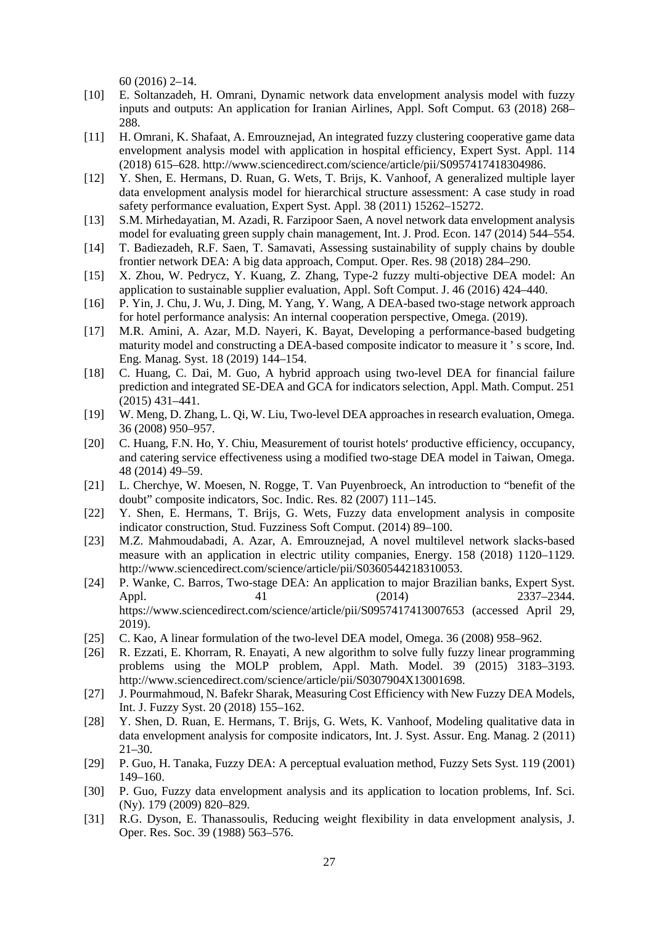60 (2016) 2–14.

- [10] E. Soltanzadeh, H. Omrani, Dynamic network data envelopment analysis model with fuzzy inputs and outputs: An application for Iranian Airlines, Appl. Soft Comput. 63 (2018) 268– 288.
- [11] H. Omrani, K. Shafaat, A. Emrouznejad, An integrated fuzzy clustering cooperative game data envelopment analysis model with application in hospital efficiency, Expert Syst. Appl. 114 (2018) 615–628. http://www.sciencedirect.com/science/article/pii/S0957417418304986.
- [12] Y. Shen, E. Hermans, D. Ruan, G. Wets, T. Brijs, K. Vanhoof, A generalized multiple layer data envelopment analysis model for hierarchical structure assessment: A case study in road safety performance evaluation, Expert Syst. Appl. 38 (2011) 15262–15272.
- [13] S.M. Mirhedayatian, M. Azadi, R. Farzipoor Saen, A novel network data envelopment analysis model for evaluating green supply chain management, Int. J. Prod. Econ. 147 (2014) 544–554.
- [14] T. Badiezadeh, R.F. Saen, T. Samavati, Assessing sustainability of supply chains by double frontier network DEA: A big data approach, Comput. Oper. Res. 98 (2018) 284–290.
- [15] X. Zhou, W. Pedrycz, Y. Kuang, Z. Zhang, Type-2 fuzzy multi-objective DEA model: An application to sustainable supplier evaluation, Appl. Soft Comput. J. 46 (2016) 424–440.
- [16] P. Yin, J. Chu, J. Wu, J. Ding, M. Yang, Y. Wang, A DEA-based two-stage network approach for hotel performance analysis: An internal cooperation perspective, Omega. (2019).
- [17] M.R. Amini, A. Azar, M.D. Nayeri, K. Bayat, Developing a performance-based budgeting maturity model and constructing a DEA-based composite indicator to measure it ' s score, Ind. Eng. Manag. Syst. 18 (2019) 144–154.
- [18] C. Huang, C. Dai, M. Guo, A hybrid approach using two-level DEA for financial failure prediction and integrated SE-DEA and GCA for indicators selection, Appl. Math. Comput. 251 (2015) 431–441.
- [19] W. Meng, D. Zhang, L. Qi, W. Liu, Two-level DEA approaches in research evaluation, Omega. 36 (2008) 950–957.
- [20] C. Huang, F.N. Ho, Y. Chiu, Measurement of tourist hotels׳ productive efficiency, occupancy, and catering service effectiveness using a modified two-stage DEA model in Taiwan, Omega. 48 (2014) 49–59.
- [21] L. Cherchye, W. Moesen, N. Rogge, T. Van Puyenbroeck, An introduction to "benefit of the doubt" composite indicators, Soc. Indic. Res. 82 (2007) 111–145.
- [22] Y. Shen, E. Hermans, T. Brijs, G. Wets, Fuzzy data envelopment analysis in composite indicator construction, Stud. Fuzziness Soft Comput. (2014) 89–100.
- [23] M.Z. Mahmoudabadi, A. Azar, A. Emrouznejad, A novel multilevel network slacks-based measure with an application in electric utility companies, Energy. 158 (2018) 1120–1129. http://www.sciencedirect.com/science/article/pii/S0360544218310053.
- [24] P. Wanke, C. Barros, Two-stage DEA: An application to major Brazilian banks, Expert Syst. Appl. 41 (2014) 2337–2344. https://www.sciencedirect.com/science/article/pii/S0957417413007653 (accessed April 29, 2019).
- [25] C. Kao, A linear formulation of the two-level DEA model, Omega. 36 (2008) 958–962.
- [26] R. Ezzati, E. Khorram, R. Enayati, A new algorithm to solve fully fuzzy linear programming problems using the MOLP problem, Appl. Math. Model. 39 (2015) 3183–3193. http://www.sciencedirect.com/science/article/pii/S0307904X13001698.
- [27] J. Pourmahmoud, N. Bafekr Sharak, Measuring Cost Efficiency with New Fuzzy DEA Models, Int. J. Fuzzy Syst. 20 (2018) 155–162.
- [28] Y. Shen, D. Ruan, E. Hermans, T. Brijs, G. Wets, K. Vanhoof, Modeling qualitative data in data envelopment analysis for composite indicators, Int. J. Syst. Assur. Eng. Manag. 2 (2011) 21–30.
- [29] P. Guo, H. Tanaka, Fuzzy DEA: A perceptual evaluation method, Fuzzy Sets Syst. 119 (2001) 149–160.
- [30] P. Guo, Fuzzy data envelopment analysis and its application to location problems, Inf. Sci. (Ny). 179 (2009) 820–829.
- [31] R.G. Dyson, E. Thanassoulis, Reducing weight flexibility in data envelopment analysis, J. Oper. Res. Soc. 39 (1988) 563–576.